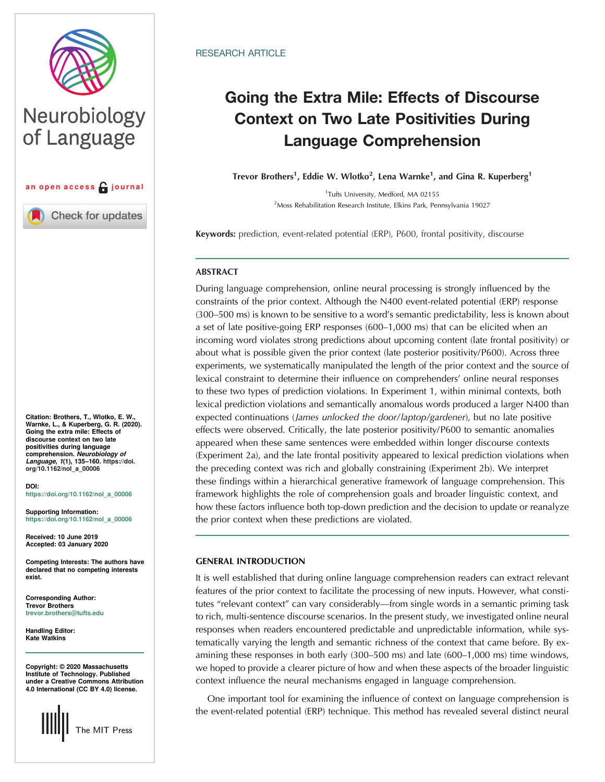

# Neurobiology of Language



Check for updates

Citation: Brothers, T., Wlotko, E. W., Warnke, L., & Kuperberg, G. R. (2020). Going the extra mile: Effects of discourse context on two late positivities during language<br>comprehension. Neurobiology of comprehension. *Neurobiology of*<br>*Language, 1*(1), 135–160. [https://doi.](https://doi.org/10.1162/nol_a_00006)<br>org/10.1162/nol. a. 00006 [org/10.1162/nol\\_a\\_00006](https://doi.org/10.1162/nol_a_00006)

DOI: [https://doi.org/10.1162/nol\\_a\\_00006](https://doi.org/10.1162/nol_a_00006)

Supporting Information: [https://doi.org/10.1162/nol\\_a\\_00006](https://doi.org/10.1162/nol_a_00006)

Received: 10 June 2019 Accepted: 03 January 2020

Competing Interests: The authors have declared that no competing interests exist.

Corresponding Author: Trevor Brothers [trevor.brothers@tufts.edu](mailto:trevor.brothers@tufts.edu)

Handling Editor: Kate Watkins

Copyright: © 2020 Massachusetts Institute of Technology. Published under a Creative Commons Attribution 4.0 International (CC BY 4.0) license.



# RESEARCH ARTICLE

# Going the Extra Mile: Effects of Discourse<br>Context on Two Late Positivities During Language Compushensien Language Comprehension

Trevor Brothers<sup>1</sup>, Eddie W. Wlotko<sup>2</sup>, Lena Warnke<sup>1</sup>, and Gina R. Kuperberg<sup>1</sup>

1 Tufts University, Medford, MA 02155 <sup>2</sup>Moss Rehabilitation Research Institute, Elkins Park, Pennsylvania 19027

Keywords: prediction, event-related potential (ERP), P600, frontal positivity, discourse

# ABSTRACT

During language comprehension, online neural processing is strongly influenced by the constraints of the prior context. Although the N400 event-related potential (ERP) response (300–500 ms) is known to be sensitive to a word's semantic predictability, less is known about a set of late positive-going ERP responses (600–1,000 ms) that can be elicited when an incoming word violates strong predictions about upcoming content (late frontal positivity) or about what is possible given the prior context (late posterior positivity/P600). Across three experiments, we systematically manipulated the length of the prior context and the source of lexical constraint to determine their influence on comprehenders' online neural responses to these two types of prediction violations. In Experiment 1, within minimal contexts, both lexical prediction violations and semantically anomalous words produced a larger N400 than expected continuations (James unlocked the door/laptop/gardener), but no late positive effects were observed. Critically, the late posterior positivity/P600 to semantic anomalies appeared when these same sentences were embedded within longer discourse contexts (Experiment 2a), and the late frontal positivity appeared to lexical prediction violations when the preceding context was rich and globally constraining (Experiment 2b). We interpret these findings within a hierarchical generative framework of language comprehension. This framework highlights the role of comprehension goals and broader linguistic context, and how these factors influence both top-down prediction and the decision to update or reanalyze the prior context when these predictions are violated.

# GENERAL INTRODUCTION

It is well established that during online language comprehension readers can extract relevant features of the prior context to facilitate the processing of new inputs. However, what constitutes "relevant context" can vary considerably—from single words in a semantic priming task to rich, multi-sentence discourse scenarios. In the present study, we investigated online neural responses when readers encountered predictable and unpredictable information, while systematically varying the length and semantic richness of the context that came before. By examining these responses in both early (300–500 ms) and late (600–1,000 ms) time windows, we hoped to provide a clearer picture of how and when these aspects of the broader linguistic context influence the neural mechanisms engaged in language comprehension.

One important tool for examining the influence of context on language comprehension is the event-related potential (ERP) technique. This method has revealed several distinct neural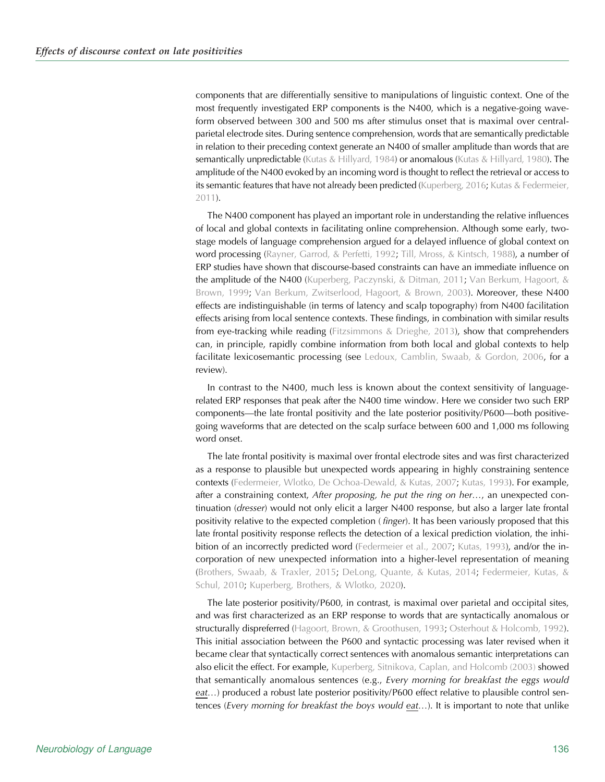components that are differentially sensitive to manipulations of linguistic context. One of the most frequently investigated ERP components is the N400, which is a negative-going waveform observed between 300 and 500 ms after stimulus onset that is maximal over centralparietal electrode sites. During sentence comprehension, words that are semantically predictable in relation to their preceding context generate an N400 of smaller amplitude than words that are semantically unpredictable [\(Kutas & Hillyard, 1984\)](#page-24-0) or anomalous [\(Kutas & Hillyard, 1980\)](#page-24-0). The amplitude of the N400 evoked by an incoming word is thought to reflect the retrieval or access to its semantic features that have not already been predicted [\(Kuperberg, 2016](#page-24-0); [Kutas & Federmeier,](#page-24-0) [2011\)](#page-24-0).

The N400 component has played an important role in understanding the relative influences of local and global contexts in facilitating online comprehension. Although some early, twostage models of language comprehension argued for a delayed influence of global context on word processing ([Rayner, Garrod, & Perfetti, 1992;](#page-25-0) [Till, Mross, & Kintsch, 1988\)](#page-25-0), a number of ERP studies have shown that discourse-based constraints can have an immediate influence on the amplitude of the N400 [\(Kuperberg, Paczynski, & Ditman, 2011;](#page-24-0) [Van Berkum, Hagoort, &](#page-25-0) [Brown, 1999;](#page-25-0) [Van Berkum, Zwitserlood, Hagoort, & Brown, 2003\)](#page-25-0). Moreover, these N400 effects are indistinguishable (in terms of latency and scalp topography) from N400 facilitation effects arising from local sentence contexts. These findings, in combination with similar results from eye-tracking while reading [\(Fitzsimmons & Drieghe, 2013\)](#page-23-0), show that comprehenders can, in principle, rapidly combine information from both local and global contexts to help facilitate lexicosemantic processing (see [Ledoux, Camblin, Swaab, & Gordon, 2006](#page-24-0), for a review).

In contrast to the N400, much less is known about the context sensitivity of languagerelated ERP responses that peak after the N400 time window. Here we consider two such ERP components—the late frontal positivity and the late posterior positivity/P600—both positivegoing waveforms that are detected on the scalp surface between 600 and 1,000 ms following word onset.

The late frontal positivity is maximal over frontal electrode sites and was first characterized as a response to plausible but unexpected words appearing in highly constraining sentence contexts ([Federmeier, Wlotko, De Ochoa-Dewald, & Kutas, 2007](#page-23-0); [Kutas, 1993](#page-24-0)). For example, after a constraining context, After proposing, he put the ring on her…, an unexpected continuation (dresser) would not only elicit a larger N400 response, but also a larger late frontal positivity relative to the expected completion (*finger*). It has been variously proposed that this late frontal positivity response reflects the detection of a lexical prediction violation, the inhi-bition of an incorrectly predicted word ([Federmeier et al., 2007;](#page-23-0) [Kutas, 1993](#page-24-0)), and/or the incorporation of new unexpected information into a higher-level representation of meaning ([Brothers, Swaab, & Traxler, 2015](#page-23-0); [DeLong, Quante, & Kutas, 2014](#page-23-0); [Federmeier, Kutas, &](#page-23-0) [Schul, 2010](#page-23-0); [Kuperberg, Brothers, & Wlotko, 2020\)](#page-24-0).

The late posterior positivity/P600, in contrast, is maximal over parietal and occipital sites, and was first characterized as an ERP response to words that are syntactically anomalous or structurally dispreferred ([Hagoort, Brown, & Groothusen, 1993](#page-24-0); [Osterhout & Holcomb, 1992\)](#page-24-0). This initial association between the P600 and syntactic processing was later revised when it became clear that syntactically correct sentences with anomalous semantic interpretations can also elicit the effect. For example, [Kuperberg, Sitnikova, Caplan, and Holcomb \(2003\)](#page-24-0) showed that semantically anomalous sentences (e.g., Every morning for breakfast the eggs would eat…) produced a robust late posterior positivity/P600 effect relative to plausible control sentences (Every morning for breakfast the boys would eat...). It is important to note that unlike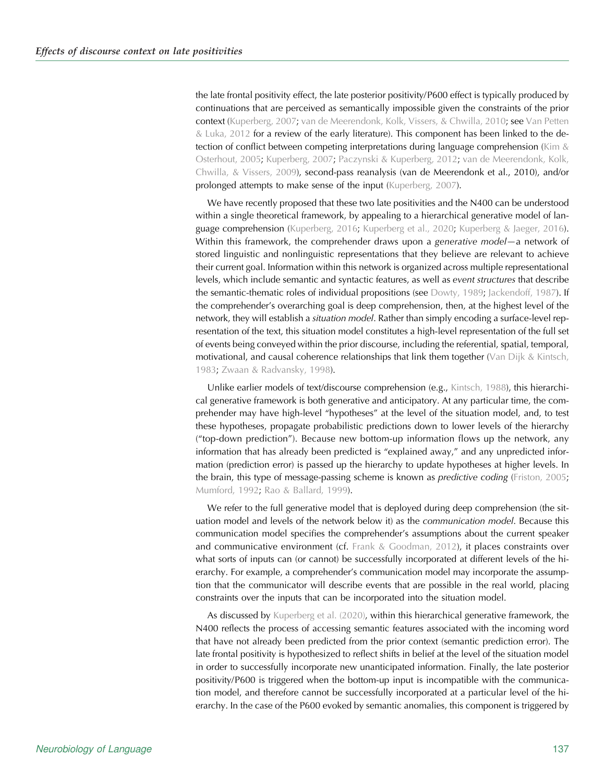the late frontal positivity effect, the late posterior positivity/P600 effect is typically produced by continuations that are perceived as semantically impossible given the constraints of the prior context ([Kuperberg, 2007](#page-24-0); [van de Meerendonk, Kolk, Vissers, & Chwilla, 2010](#page-25-0); see [Van Petten](#page-25-0) [& Luka, 2012](#page-25-0) for a review of the early literature). This component has been linked to the detection of conflict between competing interpretations during language comprehension (Kim  $\&$ [Osterhout, 2005](#page-24-0); [Kuperberg, 2007](#page-24-0); [Paczynski & Kuperberg, 2012](#page-24-0); [van de Meerendonk, Kolk,](#page-25-0) [Chwilla, & Vissers, 2009](#page-25-0)), second-pass reanalysis (van de Meerendonk et al., 2010), and/or prolonged attempts to make sense of the input ([Kuperberg, 2007](#page-24-0)).

We have recently proposed that these two late positivities and the N400 can be understood within a single theoretical framework, by appealing to a hierarchical generative model of language comprehension ([Kuperberg, 2016;](#page-24-0) [Kuperberg et al., 2020](#page-24-0); [Kuperberg & Jaeger, 2016\)](#page-24-0). Within this framework, the comprehender draws upon a generative model—a network of stored linguistic and nonlinguistic representations that they believe are relevant to achieve their current goal. Information within this network is organized across multiple representational levels, which include semantic and syntactic features, as well as event structures that describe the semantic-thematic roles of individual propositions (see [Dowty, 1989](#page-23-0); [Jackendoff, 1987](#page-24-0)). If the comprehender's overarching goal is deep comprehension, then, at the highest level of the network, they will establish a situation model. Rather than simply encoding a surface-level representation of the text, this situation model constitutes a high-level representation of the full set of events being conveyed within the prior discourse, including the referential, spatial, temporal, motivational, and causal coherence relationships that link them together [\(Van Dijk & Kintsch,](#page-25-0) [1983;](#page-25-0) [Zwaan & Radvansky, 1998](#page-25-0)).

Unlike earlier models of text/discourse comprehension (e.g., [Kintsch, 1988](#page-24-0)), this hierarchical generative framework is both generative and anticipatory. At any particular time, the comprehender may have high-level "hypotheses" at the level of the situation model, and, to test these hypotheses, propagate probabilistic predictions down to lower levels of the hierarchy ("top-down prediction"). Because new bottom-up information flows up the network, any information that has already been predicted is "explained away," and any unpredicted information (prediction error) is passed up the hierarchy to update hypotheses at higher levels. In the brain, this type of message-passing scheme is known as *predictive coding* ([Friston, 2005](#page-23-0); [Mumford, 1992](#page-24-0); [Rao & Ballard, 1999\)](#page-24-0).

We refer to the full generative model that is deployed during deep comprehension (the situation model and levels of the network below it) as the communication model. Because this communication model specifies the comprehender's assumptions about the current speaker and communicative environment (cf. [Frank & Goodman, 2012\)](#page-23-0), it places constraints over what sorts of inputs can (or cannot) be successfully incorporated at different levels of the hierarchy. For example, a comprehender's communication model may incorporate the assumption that the communicator will describe events that are possible in the real world, placing constraints over the inputs that can be incorporated into the situation model.

As discussed by [Kuperberg et al. \(2020\),](#page-24-0) within this hierarchical generative framework, the N400 reflects the process of accessing semantic features associated with the incoming word that have not already been predicted from the prior context (semantic prediction error). The late frontal positivity is hypothesized to reflect shifts in belief at the level of the situation model in order to successfully incorporate new unanticipated information. Finally, the late posterior positivity/P600 is triggered when the bottom-up input is incompatible with the communication model, and therefore cannot be successfully incorporated at a particular level of the hierarchy. In the case of the P600 evoked by semantic anomalies, this component is triggered by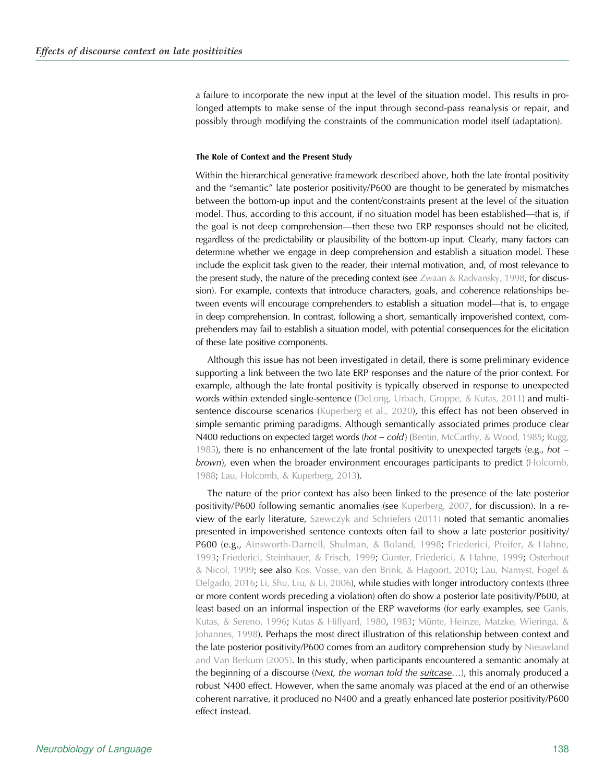a failure to incorporate the new input at the level of the situation model. This results in prolonged attempts to make sense of the input through second-pass reanalysis or repair, and possibly through modifying the constraints of the communication model itself (adaptation).

# The Role of Context and the Present Study

Within the hierarchical generative framework described above, both the late frontal positivity and the "semantic" late posterior positivity/P600 are thought to be generated by mismatches between the bottom-up input and the content/constraints present at the level of the situation model. Thus, according to this account, if no situation model has been established—that is, if the goal is not deep comprehension—then these two ERP responses should not be elicited, regardless of the predictability or plausibility of the bottom-up input. Clearly, many factors can determine whether we engage in deep comprehension and establish a situation model. These include the explicit task given to the reader, their internal motivation, and, of most relevance to the present study, the nature of the preceding context (see [Zwaan & Radvansky, 1998,](#page-25-0) for discussion). For example, contexts that introduce characters, goals, and coherence relationships between events will encourage comprehenders to establish a situation model—that is, to engage in deep comprehension. In contrast, following a short, semantically impoverished context, comprehenders may fail to establish a situation model, with potential consequences for the elicitation of these late positive components.

Although this issue has not been investigated in detail, there is some preliminary evidence supporting a link between the two late ERP responses and the nature of the prior context. For example, although the late frontal positivity is typically observed in response to unexpected words within extended single-sentence [\(DeLong, Urbach, Groppe, & Kutas, 2011\)](#page-23-0) and multisentence discourse scenarios ([Kuperberg et al., 2020\)](#page-24-0), this effect has not been observed in simple semantic priming paradigms. Although semantically associated primes produce clear N400 reductions on expected target words (hot – cold) [\(Bentin, McCarthy, & Wood, 1985;](#page-23-0) [Rugg,](#page-25-0) [1985](#page-25-0)), there is no enhancement of the late frontal positivity to unexpected targets (e.g., hot − brown), even when the broader environment encourages participants to predict [\(Holcomb,](#page-24-0) [1988](#page-24-0); [Lau, Holcomb, & Kuperberg, 2013](#page-24-0)).

The nature of the prior context has also been linked to the presence of the late posterior positivity/P600 following semantic anomalies (see [Kuperberg, 2007](#page-24-0), for discussion). In a review of the early literature, [Szewczyk and Schriefers \(2011\)](#page-25-0) noted that semantic anomalies presented in impoverished sentence contexts often fail to show a late posterior positivity/ P600 (e.g., [Ainsworth-Darnell, Shulman, & Boland, 1998;](#page-23-0) [Friederici, Pfeifer, & Hahne,](#page-23-0) [1993](#page-23-0); [Friederici, Steinhauer, & Frisch, 1999](#page-23-0); [Gunter, Friederici, & Hahne, 1999;](#page-24-0) [Osterhout](#page-24-0) [& Nicol, 1999](#page-24-0); see also [Kos, Vosse, van den Brink, & Hagoort, 2010](#page-24-0); [Lau, Namyst, Fogel &](#page-24-0) [Delgado, 2016](#page-24-0); [Li, Shu, Liu, & Li, 2006](#page-24-0)), while studies with longer introductory contexts (three or more content words preceding a violation) often do show a posterior late positivity/P600, at least based on an informal inspection of the ERP waveforms (for early examples, see [Ganis,](#page-23-0) [Kutas, & Sereno, 1996](#page-23-0); [Kutas & Hillyard, 1980,](#page-24-0) [1983;](#page-24-0) [Münte, Heinze, Matzke, Wieringa, &](#page-24-0) [Johannes, 1998](#page-24-0)). Perhaps the most direct illustration of this relationship between context and the late posterior positivity/P600 comes from an auditory comprehension study by [Nieuwland](#page-24-0) [and Van Berkum \(2005\)](#page-24-0). In this study, when participants encountered a semantic anomaly at the beginning of a discourse (Next, the woman told the suitcase...), this anomaly produced a robust N400 effect. However, when the same anomaly was placed at the end of an otherwise coherent narrative, it produced no N400 and a greatly enhanced late posterior positivity/P600 effect instead.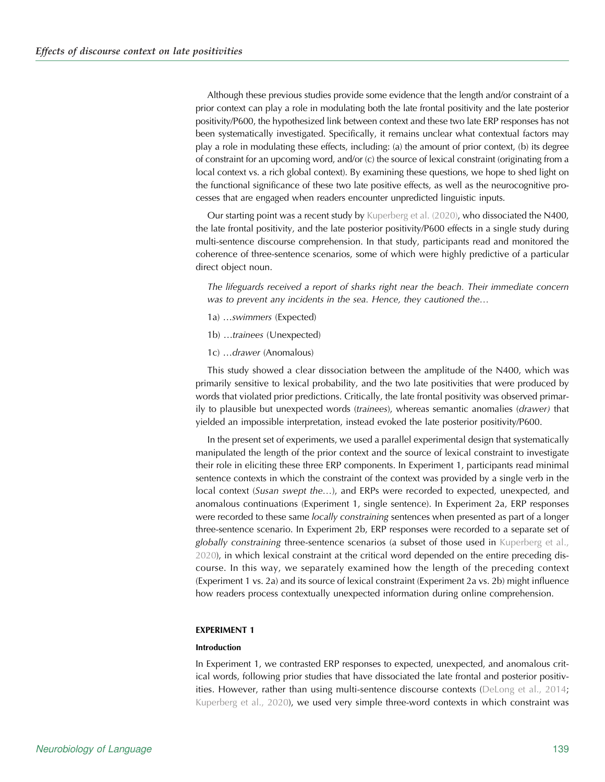Although these previous studies provide some evidence that the length and/or constraint of a prior context can play a role in modulating both the late frontal positivity and the late posterior positivity/P600, the hypothesized link between context and these two late ERP responses has not been systematically investigated. Specifically, it remains unclear what contextual factors may play a role in modulating these effects, including: (a) the amount of prior context, (b) its degree of constraint for an upcoming word, and/or (c) the source of lexical constraint (originating from a local context vs. a rich global context). By examining these questions, we hope to shed light on the functional significance of these two late positive effects, as well as the neurocognitive processes that are engaged when readers encounter unpredicted linguistic inputs.

Our starting point was a recent study by [Kuperberg et al. \(2020\)](#page-24-0), who dissociated the N400, the late frontal positivity, and the late posterior positivity/P600 effects in a single study during multi-sentence discourse comprehension. In that study, participants read and monitored the coherence of three-sentence scenarios, some of which were highly predictive of a particular direct object noun.

The lifeguards received a report of sharks right near the beach. Their immediate concern was to prevent any incidents in the sea. Hence, they cautioned the…

- 1a) …swimmers (Expected)
- 1b) …trainees (Unexpected)
- 1c) …drawer (Anomalous)

This study showed a clear dissociation between the amplitude of the N400, which was primarily sensitive to lexical probability, and the two late positivities that were produced by words that violated prior predictions. Critically, the late frontal positivity was observed primarily to plausible but unexpected words (trainees), whereas semantic anomalies (drawer) that yielded an impossible interpretation, instead evoked the late posterior positivity/P600.

In the present set of experiments, we used a parallel experimental design that systematically manipulated the length of the prior context and the source of lexical constraint to investigate their role in eliciting these three ERP components. In Experiment 1, participants read minimal sentence contexts in which the constraint of the context was provided by a single verb in the local context (Susan swept the...), and ERPs were recorded to expected, unexpected, and anomalous continuations (Experiment 1, single sentence). In Experiment 2a, ERP responses were recorded to these same *locally constraining* sentences when presented as part of a longer three-sentence scenario. In Experiment 2b, ERP responses were recorded to a separate set of globally constraining three-sentence scenarios (a subset of those used in [Kuperberg et al.,](#page-24-0) [2020\)](#page-24-0), in which lexical constraint at the critical word depended on the entire preceding discourse. In this way, we separately examined how the length of the preceding context (Experiment 1 vs. 2a) and its source of lexical constraint (Experiment 2a vs. 2b) might influence how readers process contextually unexpected information during online comprehension.

### EXPERIMENT 1

# Introduction

In Experiment 1, we contrasted ERP responses to expected, unexpected, and anomalous critical words, following prior studies that have dissociated the late frontal and posterior positivities. However, rather than using multi-sentence discourse contexts [\(DeLong et al., 2014](#page-23-0); [Kuperberg et al., 2020](#page-24-0)), we used very simple three-word contexts in which constraint was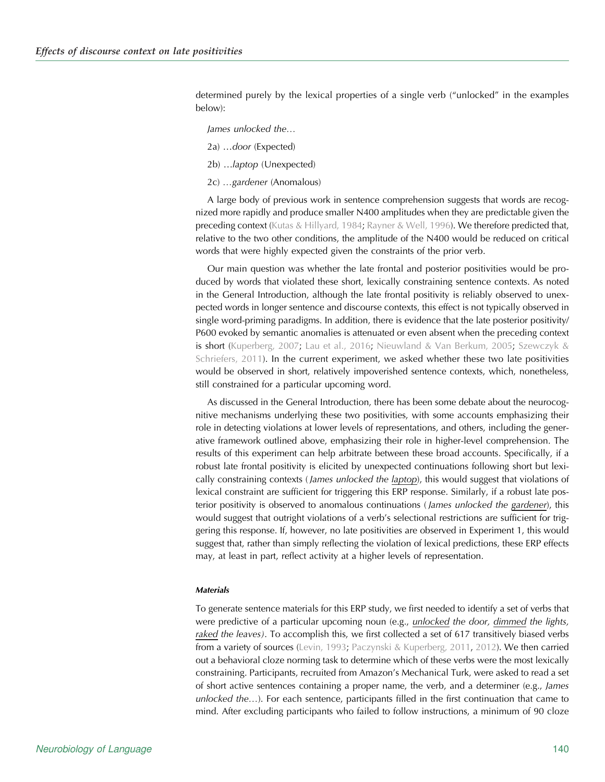determined purely by the lexical properties of a single verb ("unlocked" in the examples below):

- James unlocked the…
- 2a) …door (Expected)
- 2b) …laptop (Unexpected)
- 2c) …gardener (Anomalous)

A large body of previous work in sentence comprehension suggests that words are recognized more rapidly and produce smaller N400 amplitudes when they are predictable given the preceding context [\(Kutas & Hillyard, 1984;](#page-24-0) [Rayner & Well, 1996](#page-24-0)). We therefore predicted that, relative to the two other conditions, the amplitude of the N400 would be reduced on critical words that were highly expected given the constraints of the prior verb.

Our main question was whether the late frontal and posterior positivities would be produced by words that violated these short, lexically constraining sentence contexts. As noted in the General Introduction, although the late frontal positivity is reliably observed to unexpected words in longer sentence and discourse contexts, this effect is not typically observed in single word-priming paradigms. In addition, there is evidence that the late posterior positivity/ P600 evoked by semantic anomalies is attenuated or even absent when the preceding context is short ([Kuperberg, 2007;](#page-24-0) [Lau et al., 2016](#page-24-0); [Nieuwland & Van Berkum, 2005;](#page-24-0) [Szewczyk &](#page-25-0) [Schriefers, 2011\)](#page-25-0). In the current experiment, we asked whether these two late positivities would be observed in short, relatively impoverished sentence contexts, which, nonetheless, still constrained for a particular upcoming word.

As discussed in the General Introduction, there has been some debate about the neurocognitive mechanisms underlying these two positivities, with some accounts emphasizing their role in detecting violations at lower levels of representations, and others, including the generative framework outlined above, emphasizing their role in higher-level comprehension. The results of this experiment can help arbitrate between these broad accounts. Specifically, if a robust late frontal positivity is elicited by unexpected continuations following short but lexically constraining contexts (*James unlocked the laptop*), this would suggest that violations of lexical constraint are sufficient for triggering this ERP response. Similarly, if a robust late posterior positivity is observed to anomalous continuations (James unlocked the gardener), this would suggest that outright violations of a verb's selectional restrictions are sufficient for triggering this response. If, however, no late positivities are observed in Experiment 1, this would suggest that, rather than simply reflecting the violation of lexical predictions, these ERP effects may, at least in part, reflect activity at a higher levels of representation.

#### **Materials**

To generate sentence materials for this ERP study, we first needed to identify a set of verbs that were predictive of a particular upcoming noun (e.g., unlocked the door, dimmed the lights, raked the leaves). To accomplish this, we first collected a set of 617 transitively biased verbs from a variety of sources ([Levin, 1993;](#page-24-0) [Paczynski & Kuperberg, 2011,](#page-24-0) [2012\)](#page-24-0). We then carried out a behavioral cloze norming task to determine which of these verbs were the most lexically constraining. Participants, recruited from Amazon's Mechanical Turk, were asked to read a set of short active sentences containing a proper name, the verb, and a determiner (e.g., James unlocked the…). For each sentence, participants filled in the first continuation that came to mind. After excluding participants who failed to follow instructions, a minimum of 90 cloze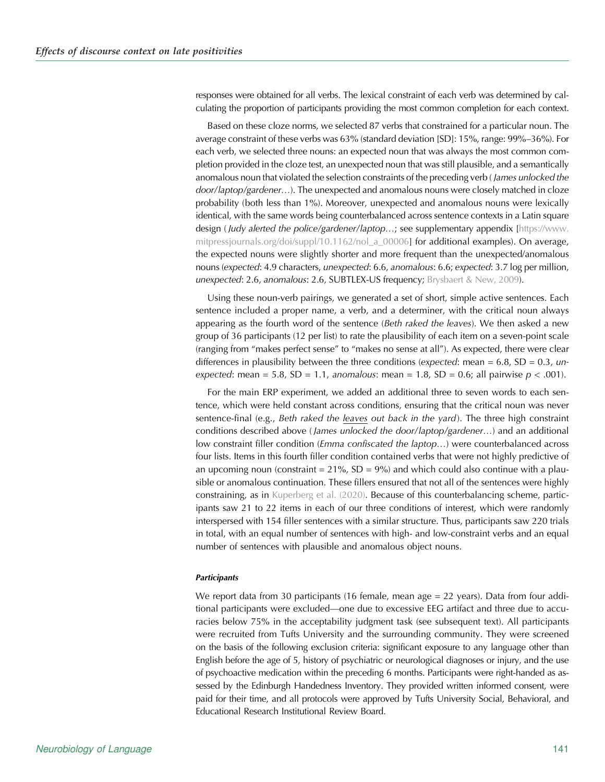responses were obtained for all verbs. The lexical constraint of each verb was determined by calculating the proportion of participants providing the most common completion for each context.

Based on these cloze norms, we selected 87 verbs that constrained for a particular noun. The average constraint of these verbs was 63% (standard deviation [SD]: 15%, range: 99%–36%). For each verb, we selected three nouns: an expected noun that was always the most common completion provided in the cloze test, an unexpected noun that was still plausible, and a semantically anomalous noun that violated the selection constraints of the preceding verb (James unlocked the door/laptop/gardener…). The unexpected and anomalous nouns were closely matched in cloze probability (both less than 1%). Moreover, unexpected and anomalous nouns were lexically identical, with the same words being counterbalanced across sentence contexts in a Latin square design (*Judy alerted the police/gardener/laptop...;* see supplementary appendix [\[https://www.](https://www.mitpressjournals.org/doi/suppl/10.1162/nol_a_00006) [mitpressjournals.org/doi/suppl/10.1162/nol\\_a\\_00006](https://www.mitpressjournals.org/doi/suppl/10.1162/nol_a_00006)] for additional examples). On average, the expected nouns were slightly shorter and more frequent than the unexpected/anomalous nouns (expected: 4.9 characters, unexpected: 6.6, anomalous: 6.6; expected: 3.7 log per million, unexpected: 2.6, anomalous: 2.6, SUBTLEX-US frequency; [Brysbaert & New, 2009](#page-23-0)).

Using these noun-verb pairings, we generated a set of short, simple active sentences. Each sentence included a proper name, a verb, and a determiner, with the critical noun always appearing as the fourth word of the sentence (Beth raked the leaves). We then asked a new group of 36 participants (12 per list) to rate the plausibility of each item on a seven-point scale (ranging from "makes perfect sense" to "makes no sense at all"). As expected, there were clear differences in plausibility between the three conditions (expected: mean =  $6.8$ , SD =  $0.3$ , unexpected: mean = 5.8, SD = 1.1, anomalous: mean = 1.8, SD = 0.6; all pairwise  $p < .001$ ).

For the main ERP experiment, we added an additional three to seven words to each sentence, which were held constant across conditions, ensuring that the critical noun was never sentence-final (e.g., Beth raked the leaves out back in the yard). The three high constraint conditions described above (James unlocked the door/laptop/gardener...) and an additional low constraint filler condition (*Emma confiscated the laptop...*) were counterbalanced across four lists. Items in this fourth filler condition contained verbs that were not highly predictive of an upcoming noun (constraint =  $21\%$ , SD =  $9\%$ ) and which could also continue with a plausible or anomalous continuation. These fillers ensured that not all of the sentences were highly constraining, as in [Kuperberg et al. \(2020\).](#page-24-0) Because of this counterbalancing scheme, participants saw 21 to 22 items in each of our three conditions of interest, which were randomly interspersed with 154 filler sentences with a similar structure. Thus, participants saw 220 trials in total, with an equal number of sentences with high- and low-constraint verbs and an equal number of sentences with plausible and anomalous object nouns.

#### **Participants**

We report data from 30 participants (16 female, mean age = 22 years). Data from four additional participants were excluded—one due to excessive EEG artifact and three due to accuracies below 75% in the acceptability judgment task (see subsequent text). All participants were recruited from Tufts University and the surrounding community. They were screened on the basis of the following exclusion criteria: significant exposure to any language other than English before the age of 5, history of psychiatric or neurological diagnoses or injury, and the use of psychoactive medication within the preceding 6 months. Participants were right-handed as assessed by the Edinburgh Handedness Inventory. They provided written informed consent, were paid for their time, and all protocols were approved by Tufts University Social, Behavioral, and Educational Research Institutional Review Board.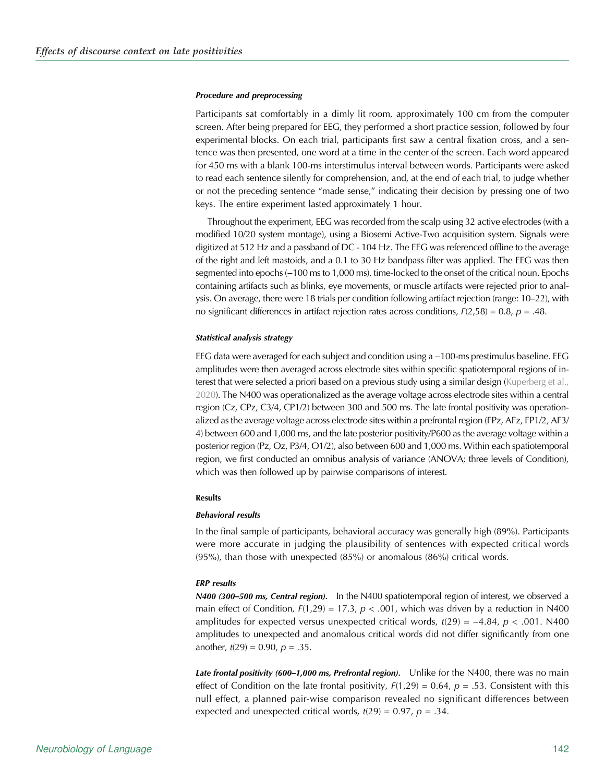#### Procedure and preprocessing

Participants sat comfortably in a dimly lit room, approximately 100 cm from the computer screen. After being prepared for EEG, they performed a short practice session, followed by four experimental blocks. On each trial, participants first saw a central fixation cross, and a sentence was then presented, one word at a time in the center of the screen. Each word appeared for 450 ms with a blank 100-ms interstimulus interval between words. Participants were asked to read each sentence silently for comprehension, and, at the end of each trial, to judge whether or not the preceding sentence "made sense," indicating their decision by pressing one of two keys. The entire experiment lasted approximately 1 hour.

Throughout the experiment, EEG was recorded from the scalp using 32 active electrodes (with a modified 10/20 system montage), using a Biosemi Active-Two acquisition system. Signals were digitized at 512 Hz and a passband of DC - 104 Hz. The EEG was referenced offline to the average of the right and left mastoids, and a 0.1 to 30 Hz bandpass filter was applied. The EEG was then segmented into epochs (−100 ms to 1,000 ms), time-locked to the onset of the critical noun. Epochs containing artifacts such as blinks, eye movements, or muscle artifacts were rejected prior to analysis. On average, there were 18 trials per condition following artifact rejection (range: 10–22), with no significant differences in artifact rejection rates across conditions,  $F(2,58) = 0.8$ ,  $p = .48$ .

### Statistical analysis strategy

EEG data were averaged for each subject and condition using a −100-ms prestimulus baseline. EEG amplitudes were then averaged across electrode sites within specific spatiotemporal regions of in-terest that were selected a priori based on a previous study using a similar design [\(Kuperberg et al.,](#page-24-0) [2020](#page-24-0)). The N400 was operationalized as the average voltage across electrode sites within a central region (Cz, CPz, C3/4, CP1/2) between 300 and 500 ms. The late frontal positivity was operationalized as the average voltage across electrode sites within a prefrontal region (FPz, AFz, FP1/2, AF3/ 4) between 600 and 1,000 ms, and the late posterior positivity/P600 as the average voltage within a posterior region (Pz, Oz, P3/4, O1/2), also between 600 and 1,000 ms. Within each spatiotemporal region, we first conducted an omnibus analysis of variance (ANOVA; three levels of Condition), which was then followed up by pairwise comparisons of interest.

#### **Results**

#### Behavioral results

In the final sample of participants, behavioral accuracy was generally high (89%). Participants were more accurate in judging the plausibility of sentences with expected critical words (95%), than those with unexpected (85%) or anomalous (86%) critical words.

### ERP results

N400 (300-500 ms, Central region). In the N400 spatiotemporal region of interest, we observed a main effect of Condition,  $F(1,29) = 17.3$ ,  $p < .001$ , which was driven by a reduction in N400 amplitudes for expected versus unexpected critical words,  $t(29) = -4.84$ ,  $p < .001$ . N400 amplitudes to unexpected and anomalous critical words did not differ significantly from one another,  $t(29) = 0.90$ ,  $p = .35$ .

Late frontal positivity (600-1,000 ms, Prefrontal region). Unlike for the N400, there was no main effect of Condition on the late frontal positivity,  $F(1,29) = 0.64$ ,  $p = .53$ . Consistent with this null effect, a planned pair-wise comparison revealed no significant differences between expected and unexpected critical words,  $t(29) = 0.97$ ,  $p = .34$ .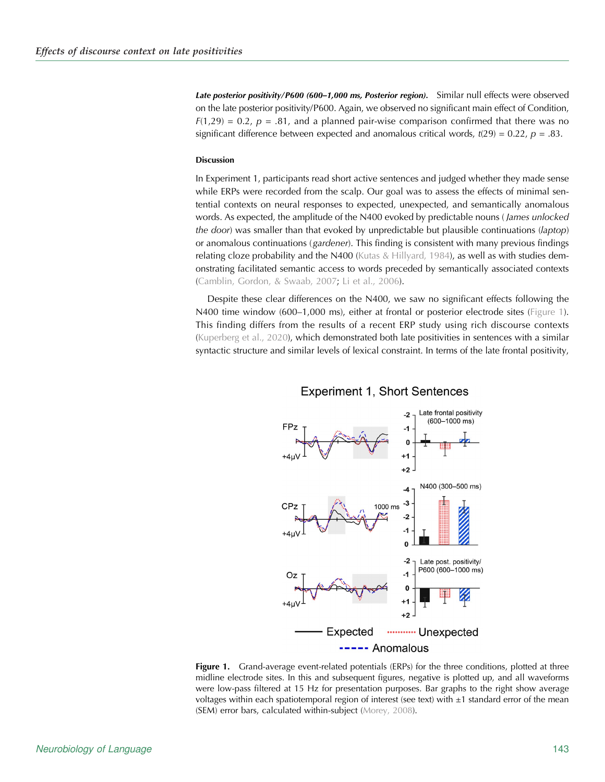Late posterior positivity/P600 (600-1,000 ms, Posterior region). Similar null effects were observed on the late posterior positivity/P600. Again, we observed no significant main effect of Condition,  $F(1,29) = 0.2$ ,  $p = .81$ , and a planned pair-wise comparison confirmed that there was no significant difference between expected and anomalous critical words,  $t(29) = 0.22$ ,  $p = .83$ .

# Discussion

In Experiment 1, participants read short active sentences and judged whether they made sense while ERPs were recorded from the scalp. Our goal was to assess the effects of minimal sentential contexts on neural responses to expected, unexpected, and semantically anomalous words. As expected, the amplitude of the N400 evoked by predictable nouns (James unlocked the door) was smaller than that evoked by unpredictable but plausible continuations (laptop) or anomalous continuations (gardener). This finding is consistent with many previous findings relating cloze probability and the N400 ([Kutas & Hillyard, 1984](#page-24-0)), as well as with studies demonstrating facilitated semantic access to words preceded by semantically associated contexts ([Camblin, Gordon, & Swaab, 2007](#page-23-0); [Li et al., 2006](#page-24-0)).

Despite these clear differences on the N400, we saw no significant effects following the N400 time window (600–1,000 ms), either at frontal or posterior electrode sites (Figure 1). This finding differs from the results of a recent ERP study using rich discourse contexts ([Kuperberg et al., 2020](#page-24-0)), which demonstrated both late positivities in sentences with a similar syntactic structure and similar levels of lexical constraint. In terms of the late frontal positivity,



# **Experiment 1, Short Sentences**

Figure 1. Grand-average event-related potentials (ERPs) for the three conditions, plotted at three midline electrode sites. In this and subsequent figures, negative is plotted up, and all waveforms were low-pass filtered at 15 Hz for presentation purposes. Bar graphs to the right show average voltages within each spatiotemporal region of interest (see text) with  $\pm 1$  standard error of the mean (SEM) error bars, calculated within-subject ([Morey, 2008\)](#page-24-0).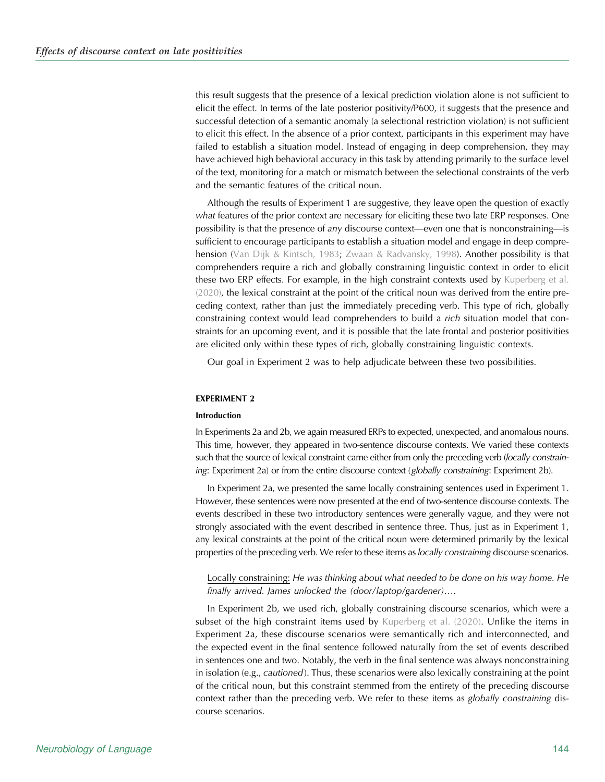this result suggests that the presence of a lexical prediction violation alone is not sufficient to elicit the effect. In terms of the late posterior positivity/P600, it suggests that the presence and successful detection of a semantic anomaly (a selectional restriction violation) is not sufficient to elicit this effect. In the absence of a prior context, participants in this experiment may have failed to establish a situation model. Instead of engaging in deep comprehension, they may have achieved high behavioral accuracy in this task by attending primarily to the surface level of the text, monitoring for a match or mismatch between the selectional constraints of the verb and the semantic features of the critical noun.

Although the results of Experiment 1 are suggestive, they leave open the question of exactly what features of the prior context are necessary for eliciting these two late ERP responses. One possibility is that the presence of any discourse context—even one that is nonconstraining—is sufficient to encourage participants to establish a situation model and engage in deep comprehension [\(Van Dijk & Kintsch, 1983;](#page-25-0) [Zwaan & Radvansky, 1998](#page-25-0)). Another possibility is that comprehenders require a rich and globally constraining linguistic context in order to elicit these two ERP effects. For example, in the high constraint contexts used by [Kuperberg et al.](#page-24-0) [\(2020\)](#page-24-0), the lexical constraint at the point of the critical noun was derived from the entire preceding context, rather than just the immediately preceding verb. This type of rich, globally constraining context would lead comprehenders to build a rich situation model that constraints for an upcoming event, and it is possible that the late frontal and posterior positivities are elicited only within these types of rich, globally constraining linguistic contexts.

Our goal in Experiment 2 was to help adjudicate between these two possibilities.

# EXPERIMENT 2

#### Introduction

In Experiments 2a and 2b, we again measured ERPs to expected, unexpected, and anomalous nouns. This time, however, they appeared in two-sentence discourse contexts. We varied these contexts such that the source of lexical constraint came either from only the preceding verb (locally constraining: Experiment 2a) or from the entire discourse context (globally constraining: Experiment 2b).

In Experiment 2a, we presented the same locally constraining sentences used in Experiment 1. However, these sentences were now presented at the end of two-sentence discourse contexts. The events described in these two introductory sentences were generally vague, and they were not strongly associated with the event described in sentence three. Thus, just as in Experiment 1, any lexical constraints at the point of the critical noun were determined primarily by the lexical properties of the preceding verb. We refer to these items as locally constraining discourse scenarios.

Locally constraining: He was thinking about what needed to be done on his way home. He finally arrived. James unlocked the (door/laptop/gardener)….

In Experiment 2b, we used rich, globally constraining discourse scenarios, which were a subset of the high constraint items used by [Kuperberg et al. \(2020\).](#page-24-0) Unlike the items in Experiment 2a, these discourse scenarios were semantically rich and interconnected, and the expected event in the final sentence followed naturally from the set of events described in sentences one and two. Notably, the verb in the final sentence was always nonconstraining in isolation (e.g., cautioned). Thus, these scenarios were also lexically constraining at the point of the critical noun, but this constraint stemmed from the entirety of the preceding discourse context rather than the preceding verb. We refer to these items as globally constraining discourse scenarios.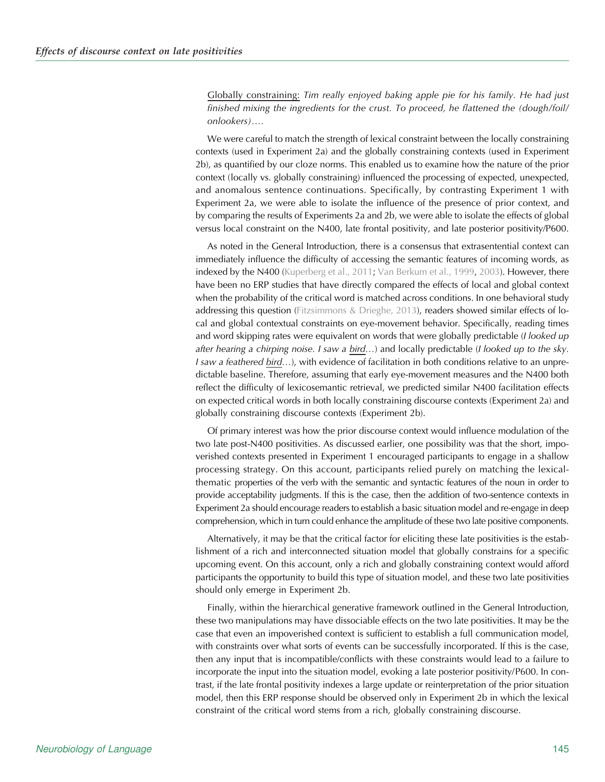Globally constraining: Tim really enjoyed baking apple pie for his family. He had just finished mixing the ingredients for the crust. To proceed, he flattened the (dough/foil/ onlookers)….

We were careful to match the strength of lexical constraint between the locally constraining contexts (used in Experiment 2a) and the globally constraining contexts (used in Experiment 2b), as quantified by our cloze norms. This enabled us to examine how the nature of the prior context (locally vs. globally constraining) influenced the processing of expected, unexpected, and anomalous sentence continuations. Specifically, by contrasting Experiment 1 with Experiment 2a, we were able to isolate the influence of the presence of prior context, and by comparing the results of Experiments 2a and 2b, we were able to isolate the effects of global versus local constraint on the N400, late frontal positivity, and late posterior positivity/P600.

As noted in the General Introduction, there is a consensus that extrasentential context can immediately influence the difficulty of accessing the semantic features of incoming words, as indexed by the N400 [\(Kuperberg et al., 2011;](#page-24-0) [Van Berkum et al., 1999](#page-25-0), [2003](#page-25-0)). However, there have been no ERP studies that have directly compared the effects of local and global context when the probability of the critical word is matched across conditions. In one behavioral study addressing this question [\(Fitzsimmons & Drieghe, 2013](#page-23-0)), readers showed similar effects of local and global contextual constraints on eye-movement behavior. Specifically, reading times and word skipping rates were equivalent on words that were globally predictable (I looked up after hearing a chirping noise. I saw a bird…) and locally predictable (I looked up to the sky. I saw a feathered bird…), with evidence of facilitation in both conditions relative to an unpredictable baseline. Therefore, assuming that early eye-movement measures and the N400 both reflect the difficulty of lexicosemantic retrieval, we predicted similar N400 facilitation effects on expected critical words in both locally constraining discourse contexts (Experiment 2a) and globally constraining discourse contexts (Experiment 2b).

Of primary interest was how the prior discourse context would influence modulation of the two late post-N400 positivities. As discussed earlier, one possibility was that the short, impoverished contexts presented in Experiment 1 encouraged participants to engage in a shallow processing strategy. On this account, participants relied purely on matching the lexicalthematic properties of the verb with the semantic and syntactic features of the noun in order to provide acceptability judgments. If this is the case, then the addition of two-sentence contexts in Experiment 2a should encourage readers to establish a basic situation model and re-engage in deep comprehension, which in turn could enhance the amplitude of these two late positive components.

Alternatively, it may be that the critical factor for eliciting these late positivities is the establishment of a rich and interconnected situation model that globally constrains for a specific upcoming event. On this account, only a rich and globally constraining context would afford participants the opportunity to build this type of situation model, and these two late positivities should only emerge in Experiment 2b.

Finally, within the hierarchical generative framework outlined in the General Introduction, these two manipulations may have dissociable effects on the two late positivities. It may be the case that even an impoverished context is sufficient to establish a full communication model, with constraints over what sorts of events can be successfully incorporated. If this is the case, then any input that is incompatible/conflicts with these constraints would lead to a failure to incorporate the input into the situation model, evoking a late posterior positivity/P600. In contrast, if the late frontal positivity indexes a large update or reinterpretation of the prior situation model, then this ERP response should be observed only in Experiment 2b in which the lexical constraint of the critical word stems from a rich, globally constraining discourse.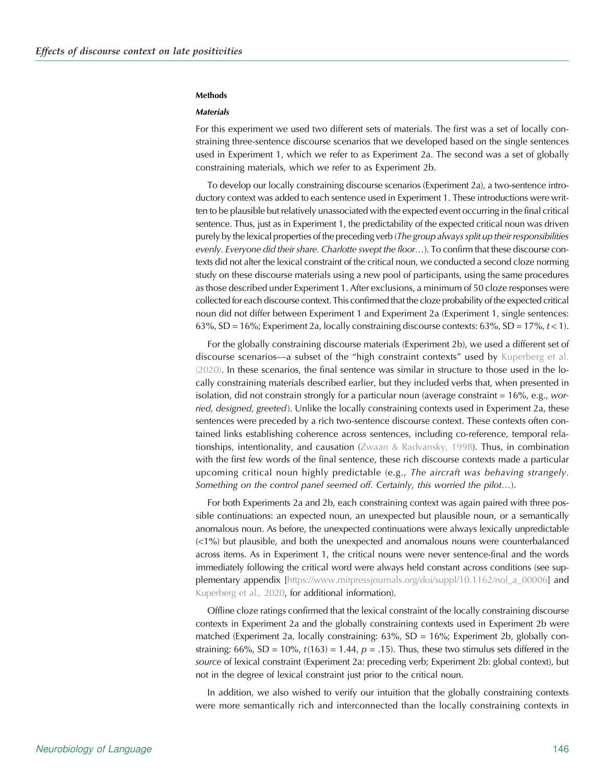#### **Methods**

# **Materials**

For this experiment we used two different sets of materials. The first was a set of locally constraining three-sentence discourse scenarios that we developed based on the single sentences used in Experiment 1, which we refer to as Experiment 2a. The second was a set of globally constraining materials, which we refer to as Experiment 2b.

To develop our locally constraining discourse scenarios (Experiment 2a), a two-sentence introductory context was added to each sentence used in Experiment 1. These introductions were written to be plausible but relatively unassociated with the expected event occurring in the final critical sentence. Thus, just as in Experiment 1, the predictability of the expected critical noun was driven purely by the lexical properties of the preceding verb (The group always split up their responsibilities evenly. Everyone did their share. Charlotte swept the floor...). To confirm that these discourse contexts did not alter the lexical constraint of the critical noun, we conducted a second cloze norming study on these discourse materials using a new pool of participants, using the same procedures as those described under Experiment 1. After exclusions, a minimum of 50 cloze responses were collected for each discourse context. This confirmed that the cloze probability of the expected critical noun did not differ between Experiment 1 and Experiment 2a (Experiment 1, single sentences: 63%, SD = 16%; Experiment 2a, locally constraining discourse contexts:  $63\%$ , SD = 17%,  $t < 1$ ).

For the globally constraining discourse materials (Experiment 2b), we used a different set of discourse scenarios—a subset of the "high constraint contexts" used by [Kuperberg et al.](#page-24-0) [\(2020\)](#page-24-0). In these scenarios, the final sentence was similar in structure to those used in the locally constraining materials described earlier, but they included verbs that, when presented in isolation, did not constrain strongly for a particular noun (average constraint =  $16\%$ , e.g., worried, designed, greeted). Unlike the locally constraining contexts used in Experiment 2a, these sentences were preceded by a rich two-sentence discourse context. These contexts often contained links establishing coherence across sentences, including co-reference, temporal relationships, intentionality, and causation ([Zwaan & Radvansky, 1998](#page-25-0)). Thus, in combination with the first few words of the final sentence, these rich discourse contexts made a particular upcoming critical noun highly predictable (e.g., The aircraft was behaving strangely. Something on the control panel seemed off. Certainly, this worried the pilot…).

For both Experiments 2a and 2b, each constraining context was again paired with three possible continuations: an expected noun, an unexpected but plausible noun, or a semantically anomalous noun. As before, the unexpected continuations were always lexically unpredictable (<1%) but plausible, and both the unexpected and anomalous nouns were counterbalanced across items. As in Experiment 1, the critical nouns were never sentence-final and the words immediately following the critical word were always held constant across conditions (see supplementary appendix [[https://www.mitpressjournals.org/doi/suppl/10.1162/nol\\_a\\_00006](https://www.mitpressjournals.org/doi/suppl/10.1162/nol_a_00006)] and [Kuperberg et al., 2020](#page-24-0), for additional information).

Offline cloze ratings confirmed that the lexical constraint of the locally constraining discourse contexts in Experiment 2a and the globally constraining contexts used in Experiment 2b were matched (Experiment 2a, locally constraining:  $63\%$ , SD =  $16\%$ ; Experiment 2b, globally constraining: 66%, SD = 10%,  $t(163) = 1.44$ ,  $p = .15$ ). Thus, these two stimulus sets differed in the source of lexical constraint (Experiment 2a: preceding verb; Experiment 2b: global context), but not in the degree of lexical constraint just prior to the critical noun.

In addition, we also wished to verify our intuition that the globally constraining contexts were more semantically rich and interconnected than the locally constraining contexts in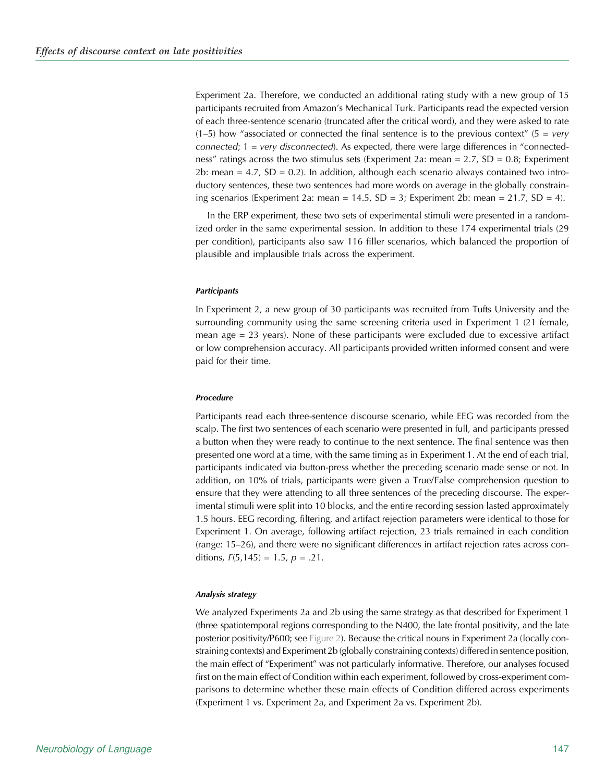Experiment 2a. Therefore, we conducted an additional rating study with a new group of 15 participants recruited from Amazon's Mechanical Turk. Participants read the expected version of each three-sentence scenario (truncated after the critical word), and they were asked to rate  $(1–5)$  how "associated or connected the final sentence is to the previous context" (5 = very connected;  $1 = \text{very disconnected}$ . As expected, there were large differences in "connectedness" ratings across the two stimulus sets (Experiment 2a: mean =  $2.7$ , SD = 0.8; Experiment 2b: mean  $= 4.7$ , SD  $= 0.2$ ). In addition, although each scenario always contained two introductory sentences, these two sentences had more words on average in the globally constraining scenarios (Experiment 2a: mean = 14.5, SD = 3; Experiment 2b: mean = 21.7, SD = 4).

In the ERP experiment, these two sets of experimental stimuli were presented in a randomized order in the same experimental session. In addition to these 174 experimental trials (29 per condition), participants also saw 116 filler scenarios, which balanced the proportion of plausible and implausible trials across the experiment.

#### **Participants**

In Experiment 2, a new group of 30 participants was recruited from Tufts University and the surrounding community using the same screening criteria used in Experiment 1 (21 female, mean age  $= 23$  years). None of these participants were excluded due to excessive artifact or low comprehension accuracy. All participants provided written informed consent and were paid for their time.

#### Procedure

Participants read each three-sentence discourse scenario, while EEG was recorded from the scalp. The first two sentences of each scenario were presented in full, and participants pressed a button when they were ready to continue to the next sentence. The final sentence was then presented one word at a time, with the same timing as in Experiment 1. At the end of each trial, participants indicated via button-press whether the preceding scenario made sense or not. In addition, on 10% of trials, participants were given a True/False comprehension question to ensure that they were attending to all three sentences of the preceding discourse. The experimental stimuli were split into 10 blocks, and the entire recording session lasted approximately 1.5 hours. EEG recording, filtering, and artifact rejection parameters were identical to those for Experiment 1. On average, following artifact rejection, 23 trials remained in each condition (range: 15–26), and there were no significant differences in artifact rejection rates across conditions,  $F(5, 145) = 1.5$ ,  $p = .21$ .

#### Analysis strategy

We analyzed Experiments 2a and 2b using the same strategy as that described for Experiment 1 (three spatiotemporal regions corresponding to the N400, the late frontal positivity, and the late posterior positivity/P600; see [Figure 2](#page-13-0)). Because the critical nouns in Experiment 2a (locally constraining contexts) and Experiment 2b (globally constraining contexts) differed in sentence position, the main effect of "Experiment" was not particularly informative. Therefore, our analyses focused first on the main effect of Condition within each experiment, followed by cross-experiment comparisons to determine whether these main effects of Condition differed across experiments (Experiment 1 vs. Experiment 2a, and Experiment 2a vs. Experiment 2b).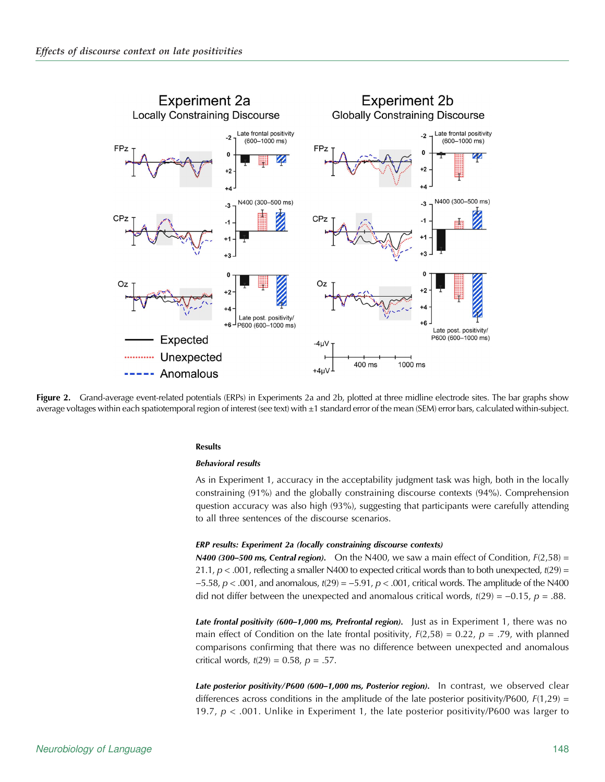<span id="page-13-0"></span>

Figure 2. Grand-average event-related potentials (ERPs) in Experiments 2a and 2b, plotted at three midline electrode sites. The bar graphs show average voltages within each spatiotemporal region of interest (see text) with ±1 standard error of the mean (SEM) error bars, calculated within-subject.

#### **Results**

#### Behavioral results

As in Experiment 1, accuracy in the acceptability judgment task was high, both in the locally constraining (91%) and the globally constraining discourse contexts (94%). Comprehension question accuracy was also high (93%), suggesting that participants were carefully attending to all three sentences of the discourse scenarios.

### ERP results: Experiment 2a (locally constraining discourse contexts)

**N400 (300–500 ms, Central region).** On the N400, we saw a main effect of Condition,  $F(2,58) =$ 21.1,  $p < .001$ , reflecting a smaller N400 to expected critical words than to both unexpected,  $t(29) =$  $-5.58$ ,  $p < .001$ , and anomalous,  $t(29) = -5.91$ ,  $p < .001$ , critical words. The amplitude of the N400 did not differ between the unexpected and anomalous critical words,  $t(29) = -0.15$ ,  $p = .88$ .

Late frontal positivity (600–1,000 ms, Prefrontal region). Just as in Experiment 1, there was no main effect of Condition on the late frontal positivity,  $F(2,58) = 0.22$ ,  $p = .79$ , with planned comparisons confirming that there was no difference between unexpected and anomalous critical words,  $t(29) = 0.58$ ,  $p = .57$ .

Late posterior positivity/P600 (600-1,000 ms, Posterior region). In contrast, we observed clear differences across conditions in the amplitude of the late posterior positivity/P600,  $F(1,29)$  = 19.7,  $p < .001$ . Unlike in Experiment 1, the late posterior positivity/P600 was larger to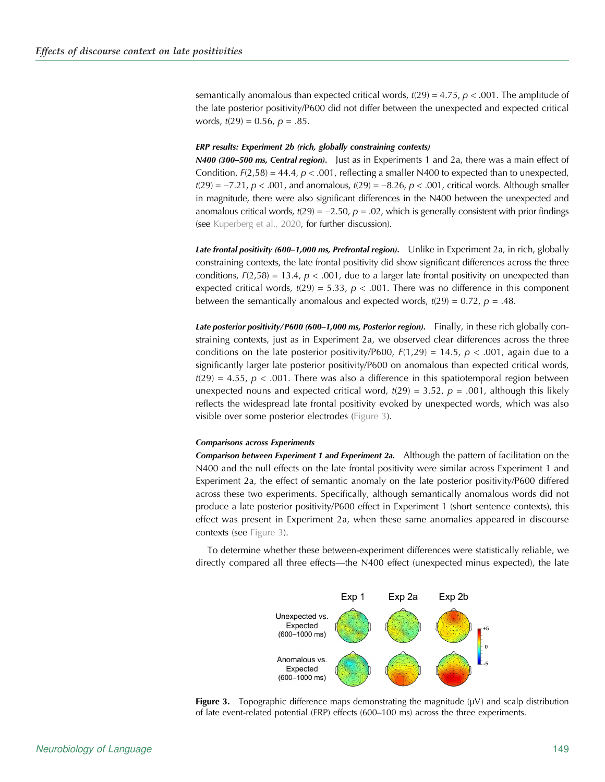<span id="page-14-0"></span>semantically anomalous than expected critical words,  $t(29) = 4.75$ ,  $p < .001$ . The amplitude of the late posterior positivity/P600 did not differ between the unexpected and expected critical words,  $t(29) = 0.56$ ,  $p = .85$ .

#### ERP results: Experiment 2b (rich, globally constraining contexts)

N400 (300-500 ms, Central region). Just as in Experiments 1 and 2a, there was a main effect of Condition,  $F(2,58) = 44.4$ ,  $p < .001$ , reflecting a smaller N400 to expected than to unexpected,  $t(29) = -7.21$ ,  $p < .001$ , and anomalous,  $t(29) = -8.26$ ,  $p < .001$ , critical words. Although smaller in magnitude, there were also significant differences in the N400 between the unexpected and anomalous critical words,  $t(29) = -2.50$ ,  $p = .02$ , which is generally consistent with prior findings (see [Kuperberg et al., 2020,](#page-24-0) for further discussion).

Late frontal positivity (600–1,000 ms, Prefrontal region). Unlike in Experiment 2a, in rich, globally constraining contexts, the late frontal positivity did show significant differences across the three conditions,  $F(2,58) = 13.4$ ,  $p < .001$ , due to a larger late frontal positivity on unexpected than expected critical words,  $t(29) = 5.33$ ,  $p < .001$ . There was no difference in this component between the semantically anomalous and expected words,  $t(29) = 0.72$ ,  $p = .48$ .

Late posterior positivity/P600 (600-1,000 ms, Posterior region). Finally, in these rich globally constraining contexts, just as in Experiment 2a, we observed clear differences across the three conditions on the late posterior positivity/P600,  $F(1,29) = 14.5$ ,  $p < .001$ , again due to a significantly larger late posterior positivity/P600 on anomalous than expected critical words,  $t(29) = 4.55$ ,  $p < .001$ . There was also a difference in this spatiotemporal region between unexpected nouns and expected critical word,  $t(29) = 3.52$ ,  $p = .001$ , although this likely reflects the widespread late frontal positivity evoked by unexpected words, which was also visible over some posterior electrodes (Figure 3).

#### Comparisons across Experiments

Comparison between Experiment 1 and Experiment 2a. Although the pattern of facilitation on the N400 and the null effects on the late frontal positivity were similar across Experiment 1 and Experiment 2a, the effect of semantic anomaly on the late posterior positivity/P600 differed across these two experiments. Specifically, although semantically anomalous words did not produce a late posterior positivity/P600 effect in Experiment 1 (short sentence contexts), this effect was present in Experiment 2a, when these same anomalies appeared in discourse contexts (see Figure 3).

To determine whether these between-experiment differences were statistically reliable, we directly compared all three effects—the N400 effect (unexpected minus expected), the late



**Figure 3.** Topographic difference maps demonstrating the magnitude ( $\mu$ V) and scalp distribution of late event-related potential (ERP) effects (600–100 ms) across the three experiments.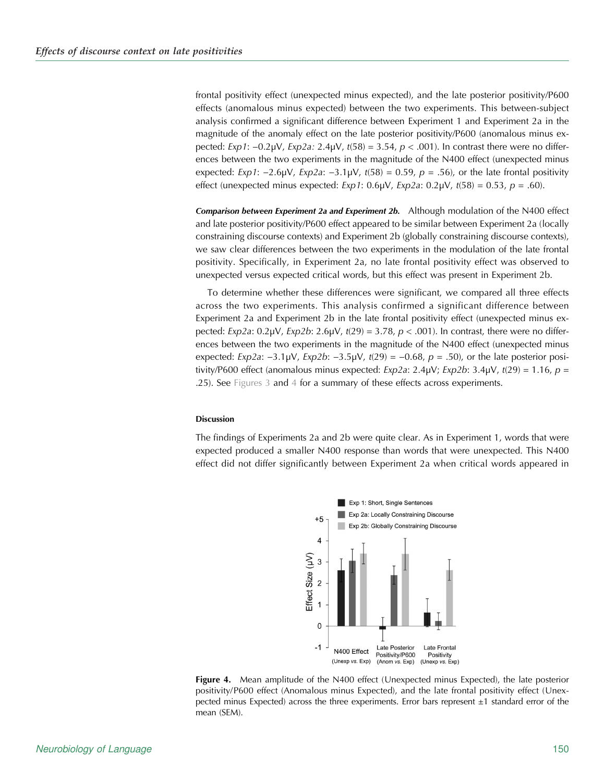frontal positivity effect (unexpected minus expected), and the late posterior positivity/P600 effects (anomalous minus expected) between the two experiments. This between-subject analysis confirmed a significant difference between Experiment 1 and Experiment 2a in the magnitude of the anomaly effect on the late posterior positivity/P600 (anomalous minus expected: Exp1:  $-0.2$ μV, Exp2a: 2.4μV, t(58) = 3.54, p < .001). In contrast there were no differences between the two experiments in the magnitude of the N400 effect (unexpected minus expected:  $Exp1$ : −2.6µV,  $Exp2a$ : −3.1µV,  $t(58)$  = 0.59,  $p = .56$ ), or the late frontal positivity effect (unexpected minus expected:  $Exp1$ : 0.6µV,  $Exp2$ a: 0.2µV,  $t(58) = 0.53$ ,  $p = .60$ ).

Comparison between Experiment 2a and Experiment 2b. Although modulation of the N400 effect and late posterior positivity/P600 effect appeared to be similar between Experiment 2a (locally constraining discourse contexts) and Experiment 2b (globally constraining discourse contexts), we saw clear differences between the two experiments in the modulation of the late frontal positivity. Specifically, in Experiment 2a, no late frontal positivity effect was observed to unexpected versus expected critical words, but this effect was present in Experiment 2b.

To determine whether these differences were significant, we compared all three effects across the two experiments. This analysis confirmed a significant difference between Experiment 2a and Experiment 2b in the late frontal positivity effect (unexpected minus expected: Exp2a: 0.2μV, Exp2b: 2.6μV, t(29) = 3.78, p < .001). In contrast, there were no differences between the two experiments in the magnitude of the N400 effect (unexpected minus expected: Exp2a:  $-3.1\mu$ V, Exp2b:  $-3.5\mu$ V, t(29) =  $-0.68$ , p = .50), or the late posterior positivity/P600 effect (anomalous minus expected:  $Exp2a: 2.4\mu V$ ;  $Exp2b: 3.4\mu V$ ,  $t(29) = 1.16$ ,  $p =$ .25). See [Figures 3](#page-14-0) and 4 for a summary of these effects across experiments.

# Discussion

The findings of Experiments 2a and 2b were quite clear. As in Experiment 1, words that were expected produced a smaller N400 response than words that were unexpected. This N400 effect did not differ significantly between Experiment 2a when critical words appeared in



**Figure 4.** Mean amplitude of the N400 effect (Unexpected minus Expected), the late posterior positivity/P600 effect (Anomalous minus Expected), and the late frontal positivity effect (Unexpected minus Expected) across the three experiments. Error bars represent ±1 standard error of the mean (SEM).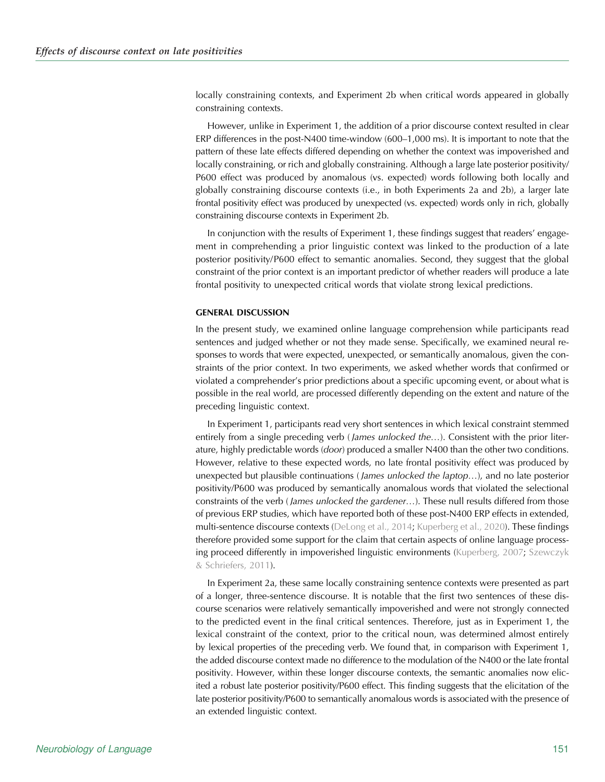locally constraining contexts, and Experiment 2b when critical words appeared in globally constraining contexts.

However, unlike in Experiment 1, the addition of a prior discourse context resulted in clear ERP differences in the post-N400 time-window (600–1,000 ms). It is important to note that the pattern of these late effects differed depending on whether the context was impoverished and locally constraining, or rich and globally constraining. Although a large late posterior positivity/ P600 effect was produced by anomalous (vs. expected) words following both locally and globally constraining discourse contexts (i.e., in both Experiments 2a and 2b), a larger late frontal positivity effect was produced by unexpected (vs. expected) words only in rich, globally constraining discourse contexts in Experiment 2b.

In conjunction with the results of Experiment 1, these findings suggest that readers' engagement in comprehending a prior linguistic context was linked to the production of a late posterior positivity/P600 effect to semantic anomalies. Second, they suggest that the global constraint of the prior context is an important predictor of whether readers will produce a late frontal positivity to unexpected critical words that violate strong lexical predictions.

#### GENERAL DISCUSSION

In the present study, we examined online language comprehension while participants read sentences and judged whether or not they made sense. Specifically, we examined neural responses to words that were expected, unexpected, or semantically anomalous, given the constraints of the prior context. In two experiments, we asked whether words that confirmed or violated a comprehender's prior predictions about a specific upcoming event, or about what is possible in the real world, are processed differently depending on the extent and nature of the preceding linguistic context.

In Experiment 1, participants read very short sentences in which lexical constraint stemmed entirely from a single preceding verb (*James unlocked the...*). Consistent with the prior literature, highly predictable words (door) produced a smaller N400 than the other two conditions. However, relative to these expected words, no late frontal positivity effect was produced by unexpected but plausible continuations (*James unlocked the laptop...*), and no late posterior positivity/P600 was produced by semantically anomalous words that violated the selectional constraints of the verb (*James unlocked the gardener...*). These null results differed from those of previous ERP studies, which have reported both of these post-N400 ERP effects in extended, multi-sentence discourse contexts [\(DeLong et al., 2014](#page-23-0); [Kuperberg et al., 2020](#page-24-0)). These findings therefore provided some support for the claim that certain aspects of online language processing proceed differently in impoverished linguistic environments ([Kuperberg, 2007;](#page-24-0) [Szewczyk](#page-25-0) [& Schriefers, 2011\)](#page-25-0).

In Experiment 2a, these same locally constraining sentence contexts were presented as part of a longer, three-sentence discourse. It is notable that the first two sentences of these discourse scenarios were relatively semantically impoverished and were not strongly connected to the predicted event in the final critical sentences. Therefore, just as in Experiment 1, the lexical constraint of the context, prior to the critical noun, was determined almost entirely by lexical properties of the preceding verb. We found that, in comparison with Experiment 1, the added discourse context made no difference to the modulation of the N400 or the late frontal positivity. However, within these longer discourse contexts, the semantic anomalies now elicited a robust late posterior positivity/P600 effect. This finding suggests that the elicitation of the late posterior positivity/P600 to semantically anomalous words is associated with the presence of an extended linguistic context.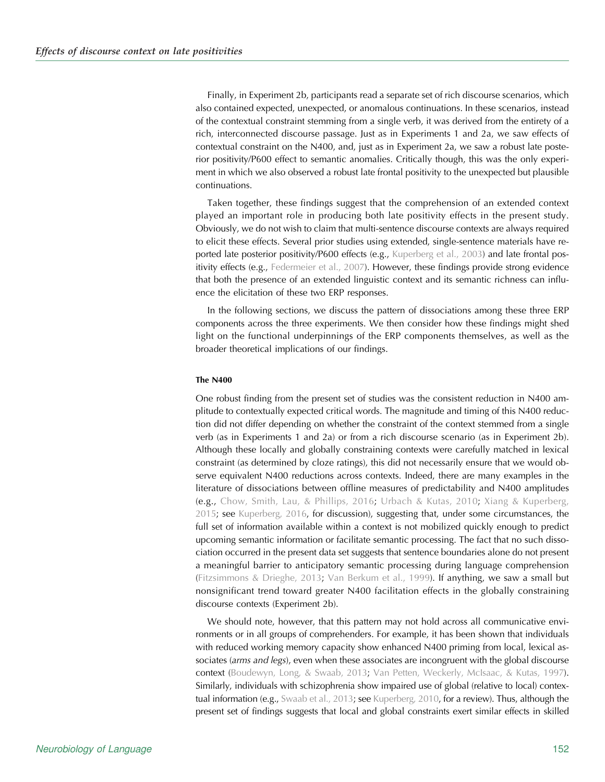Finally, in Experiment 2b, participants read a separate set of rich discourse scenarios, which also contained expected, unexpected, or anomalous continuations. In these scenarios, instead of the contextual constraint stemming from a single verb, it was derived from the entirety of a rich, interconnected discourse passage. Just as in Experiments 1 and 2a, we saw effects of contextual constraint on the N400, and, just as in Experiment 2a, we saw a robust late posterior positivity/P600 effect to semantic anomalies. Critically though, this was the only experiment in which we also observed a robust late frontal positivity to the unexpected but plausible continuations.

Taken together, these findings suggest that the comprehension of an extended context played an important role in producing both late positivity effects in the present study. Obviously, we do not wish to claim that multi-sentence discourse contexts are always required to elicit these effects. Several prior studies using extended, single-sentence materials have re-ported late posterior positivity/P600 effects (e.g., [Kuperberg et al., 2003\)](#page-24-0) and late frontal positivity effects (e.g., [Federmeier et al., 2007](#page-23-0)). However, these findings provide strong evidence that both the presence of an extended linguistic context and its semantic richness can influence the elicitation of these two ERP responses.

In the following sections, we discuss the pattern of dissociations among these three ERP components across the three experiments. We then consider how these findings might shed light on the functional underpinnings of the ERP components themselves, as well as the broader theoretical implications of our findings.

# The N400

One robust finding from the present set of studies was the consistent reduction in N400 amplitude to contextually expected critical words. The magnitude and timing of this N400 reduction did not differ depending on whether the constraint of the context stemmed from a single verb (as in Experiments 1 and 2a) or from a rich discourse scenario (as in Experiment 2b). Although these locally and globally constraining contexts were carefully matched in lexical constraint (as determined by cloze ratings), this did not necessarily ensure that we would observe equivalent N400 reductions across contexts. Indeed, there are many examples in the literature of dissociations between offline measures of predictability and N400 amplitudes (e.g., [Chow, Smith, Lau, & Phillips, 2016;](#page-23-0) [Urbach & Kutas, 2010;](#page-25-0) [Xiang & Kuperberg,](#page-25-0) [2015;](#page-25-0) see [Kuperberg, 2016](#page-24-0), for discussion), suggesting that, under some circumstances, the full set of information available within a context is not mobilized quickly enough to predict upcoming semantic information or facilitate semantic processing. The fact that no such dissociation occurred in the present data set suggests that sentence boundaries alone do not present a meaningful barrier to anticipatory semantic processing during language comprehension ([Fitzsimmons & Drieghe, 2013;](#page-23-0) [Van Berkum et al., 1999](#page-25-0)). If anything, we saw a small but nonsignificant trend toward greater N400 facilitation effects in the globally constraining discourse contexts (Experiment 2b).

We should note, however, that this pattern may not hold across all communicative environments or in all groups of comprehenders. For example, it has been shown that individuals with reduced working memory capacity show enhanced N400 priming from local, lexical associates (arms and legs), even when these associates are incongruent with the global discourse context ([Boudewyn, Long, & Swaab, 2013;](#page-23-0) [Van Petten, Weckerly, McIsaac, & Kutas, 1997\)](#page-25-0). Similarly, individuals with schizophrenia show impaired use of global (relative to local) contex-tual information (e.g., [Swaab et al., 2013;](#page-25-0) see [Kuperberg, 2010](#page-24-0), for a review). Thus, although the present set of findings suggests that local and global constraints exert similar effects in skilled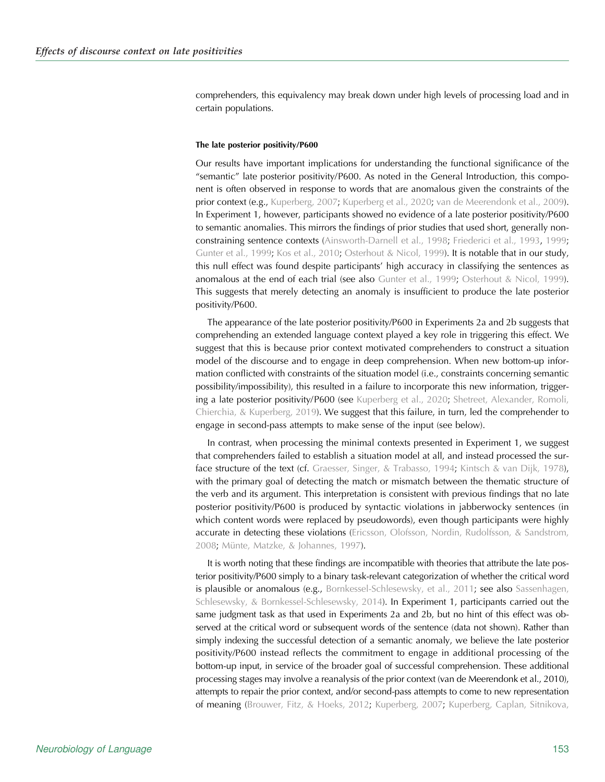comprehenders, this equivalency may break down under high levels of processing load and in certain populations.

#### The late posterior positivity/P600

Our results have important implications for understanding the functional significance of the "semantic" late posterior positivity/P600. As noted in the General Introduction, this component is often observed in response to words that are anomalous given the constraints of the prior context (e.g., [Kuperberg, 2007;](#page-24-0) [Kuperberg et al., 2020;](#page-24-0) [van de Meerendonk et al., 2009\)](#page-25-0). In Experiment 1, however, participants showed no evidence of a late posterior positivity/P600 to semantic anomalies. This mirrors the findings of prior studies that used short, generally nonconstraining sentence contexts ([Ainsworth-Darnell et al., 1998](#page-23-0); [Friederici et al., 1993,](#page-23-0) [1999](#page-23-0); [Gunter et al., 1999;](#page-24-0) [Kos et al., 2010;](#page-24-0) [Osterhout & Nicol, 1999\)](#page-24-0). It is notable that in our study, this null effect was found despite participants' high accuracy in classifying the sentences as anomalous at the end of each trial (see also [Gunter et al., 1999;](#page-24-0) [Osterhout & Nicol, 1999\)](#page-24-0). This suggests that merely detecting an anomaly is insufficient to produce the late posterior positivity/P600.

The appearance of the late posterior positivity/P600 in Experiments 2a and 2b suggests that comprehending an extended language context played a key role in triggering this effect. We suggest that this is because prior context motivated comprehenders to construct a situation model of the discourse and to engage in deep comprehension. When new bottom-up information conflicted with constraints of the situation model (i.e., constraints concerning semantic possibility/impossibility), this resulted in a failure to incorporate this new information, triggering a late posterior positivity/P600 (see [Kuperberg et al., 2020](#page-24-0); [Shetreet, Alexander, Romoli,](#page-25-0) [Chierchia, & Kuperberg, 2019](#page-25-0)). We suggest that this failure, in turn, led the comprehender to engage in second-pass attempts to make sense of the input (see below).

In contrast, when processing the minimal contexts presented in Experiment 1, we suggest that comprehenders failed to establish a situation model at all, and instead processed the sur-face structure of the text (cf. [Graesser, Singer, & Trabasso, 1994](#page-23-0); [Kintsch & van Dijk, 1978\)](#page-24-0), with the primary goal of detecting the match or mismatch between the thematic structure of the verb and its argument. This interpretation is consistent with previous findings that no late posterior positivity/P600 is produced by syntactic violations in jabberwocky sentences (in which content words were replaced by pseudowords), even though participants were highly accurate in detecting these violations [\(Ericsson, Olofsson, Nordin, Rudolfsson, & Sandstrom,](#page-23-0) [2008;](#page-23-0) [Münte, Matzke, & Johannes, 1997](#page-24-0)).

It is worth noting that these findings are incompatible with theories that attribute the late posterior positivity/P600 simply to a binary task-relevant categorization of whether the critical word is plausible or anomalous (e.g., [Bornkessel-Schlesewsky, et al., 2011](#page-23-0); see also [Sassenhagen,](#page-25-0) [Schlesewsky, & Bornkessel-Schlesewsky, 2014](#page-25-0)). In Experiment 1, participants carried out the same judgment task as that used in Experiments 2a and 2b, but no hint of this effect was observed at the critical word or subsequent words of the sentence (data not shown). Rather than simply indexing the successful detection of a semantic anomaly, we believe the late posterior positivity/P600 instead reflects the commitment to engage in additional processing of the bottom-up input, in service of the broader goal of successful comprehension. These additional processing stages may involve a reanalysis of the prior context (van de Meerendonk et al., 2010), attempts to repair the prior context, and/or second-pass attempts to come to new representation of meaning [\(Brouwer, Fitz, & Hoeks, 2012;](#page-23-0) [Kuperberg, 2007](#page-24-0); [Kuperberg, Caplan, Sitnikova,](#page-24-0)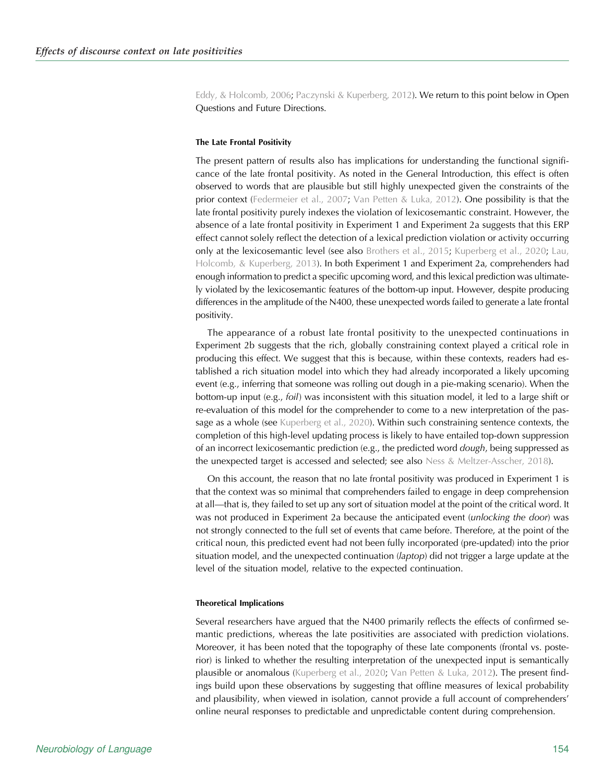[Eddy, & Holcomb, 2006;](#page-24-0) [Paczynski & Kuperberg, 2012](#page-24-0)). We return to this point below in Open Questions and Future Directions.

#### The Late Frontal Positivity

The present pattern of results also has implications for understanding the functional significance of the late frontal positivity. As noted in the General Introduction, this effect is often observed to words that are plausible but still highly unexpected given the constraints of the prior context [\(Federmeier et al., 2007](#page-23-0); [Van Petten & Luka, 2012](#page-25-0)). One possibility is that the late frontal positivity purely indexes the violation of lexicosemantic constraint. However, the absence of a late frontal positivity in Experiment 1 and Experiment 2a suggests that this ERP effect cannot solely reflect the detection of a lexical prediction violation or activity occurring only at the lexicosemantic level (see also [Brothers et al., 2015;](#page-23-0) [Kuperberg et al., 2020;](#page-24-0) [Lau,](#page-24-0) [Holcomb, & Kuperberg, 2013\)](#page-24-0). In both Experiment 1 and Experiment 2a, comprehenders had enough information to predict a specific upcoming word, and this lexical prediction was ultimately violated by the lexicosemantic features of the bottom-up input. However, despite producing differences in the amplitude of the N400, these unexpected words failed to generate a late frontal positivity.

The appearance of a robust late frontal positivity to the unexpected continuations in Experiment 2b suggests that the rich, globally constraining context played a critical role in producing this effect. We suggest that this is because, within these contexts, readers had established a rich situation model into which they had already incorporated a likely upcoming event (e.g., inferring that someone was rolling out dough in a pie-making scenario). When the bottom-up input (e.g., foil) was inconsistent with this situation model, it led to a large shift or re-evaluation of this model for the comprehender to come to a new interpretation of the pas-sage as a whole (see [Kuperberg et al., 2020](#page-24-0)). Within such constraining sentence contexts, the completion of this high-level updating process is likely to have entailed top-down suppression of an incorrect lexicosemantic prediction (e.g., the predicted word *dough*, being suppressed as the unexpected target is accessed and selected; see also [Ness & Meltzer-Asscher, 2018](#page-24-0)).

On this account, the reason that no late frontal positivity was produced in Experiment 1 is that the context was so minimal that comprehenders failed to engage in deep comprehension at all—that is, they failed to set up any sort of situation model at the point of the critical word. It was not produced in Experiment 2a because the anticipated event *(unlocking the door)* was not strongly connected to the full set of events that came before. Therefore, at the point of the critical noun, this predicted event had not been fully incorporated (pre-updated) into the prior situation model, and the unexpected continuation (*laptop*) did not trigger a large update at the level of the situation model, relative to the expected continuation.

# Theoretical Implications

Several researchers have argued that the N400 primarily reflects the effects of confirmed semantic predictions, whereas the late positivities are associated with prediction violations. Moreover, it has been noted that the topography of these late components (frontal vs. posterior) is linked to whether the resulting interpretation of the unexpected input is semantically plausible or anomalous ([Kuperberg et al., 2020](#page-24-0); [Van Petten & Luka, 2012\)](#page-25-0). The present findings build upon these observations by suggesting that offline measures of lexical probability and plausibility, when viewed in isolation, cannot provide a full account of comprehenders' online neural responses to predictable and unpredictable content during comprehension.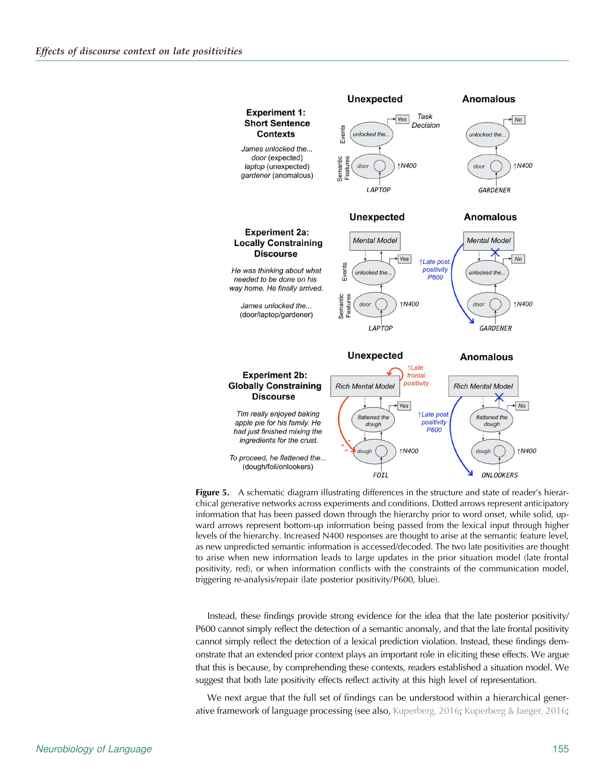<span id="page-20-0"></span>

**Figure 5.** A schematic diagram illustrating differences in the structure and state of reader's hierarchical generative networks across experiments and conditions. Dotted arrows represent anticipatory information that has been passed down through the hierarchy prior to word onset, while solid, upward arrows represent bottom-up information being passed from the lexical input through higher levels of the hierarchy. Increased N400 responses are thought to arise at the semantic feature level, as new unpredicted semantic information is accessed/decoded. The two late positivities are thought to arise when new information leads to large updates in the prior situation model (late frontal positivity, red), or when information conflicts with the constraints of the communication model, triggering re-analysis/repair (late posterior positivity/P600, blue).

Instead, these findings provide strong evidence for the idea that the late posterior positivity/ P600 cannot simply reflect the detection of a semantic anomaly, and that the late frontal positivity cannot simply reflect the detection of a lexical prediction violation. Instead, these findings demonstrate that an extended prior context plays an important role in eliciting these effects. We argue that this is because, by comprehending these contexts, readers established a situation model. We suggest that both late positivity effects reflect activity at this high level of representation.

We next argue that the full set of findings can be understood within a hierarchical generative framework of language processing (see also, [Kuperberg, 2016](#page-24-0); [Kuperberg & Jaeger, 2016](#page-24-0);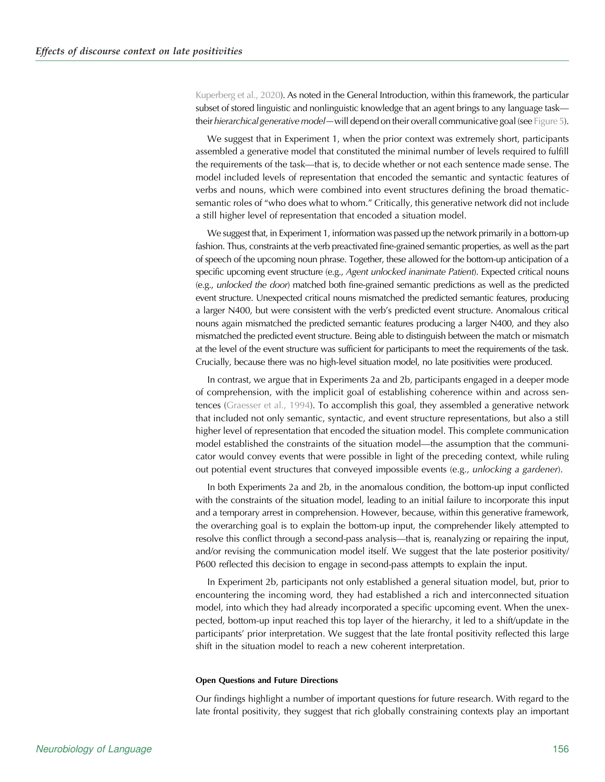[Kuperberg et al., 2020\)](#page-24-0). As noted in the General Introduction, within this framework, the particular subset of stored linguistic and nonlinguistic knowledge that an agent brings to any language task their *hierarchical generative model—will depend on their overall communicative goal (see [Figure 5](#page-20-0))*.

We suggest that in Experiment 1, when the prior context was extremely short, participants assembled a generative model that constituted the minimal number of levels required to fulfill the requirements of the task—that is, to decide whether or not each sentence made sense. The model included levels of representation that encoded the semantic and syntactic features of verbs and nouns, which were combined into event structures defining the broad thematicsemantic roles of "who does what to whom." Critically, this generative network did not include a still higher level of representation that encoded a situation model.

We suggest that, in Experiment 1, information was passed up the network primarily in a bottom-up fashion. Thus, constraints at the verb preactivated fine-grained semantic properties, as well as the part of speech of the upcoming noun phrase. Together, these allowed for the bottom-up anticipation of a specific upcoming event structure (e.g., Agent unlocked inanimate Patient). Expected critical nouns (e.g., unlocked the door) matched both fine-grained semantic predictions as well as the predicted event structure. Unexpected critical nouns mismatched the predicted semantic features, producing a larger N400, but were consistent with the verb's predicted event structure. Anomalous critical nouns again mismatched the predicted semantic features producing a larger N400, and they also mismatched the predicted event structure. Being able to distinguish between the match or mismatch at the level of the event structure was sufficient for participants to meet the requirements of the task. Crucially, because there was no high-level situation model, no late positivities were produced.

In contrast, we argue that in Experiments 2a and 2b, participants engaged in a deeper mode of comprehension, with the implicit goal of establishing coherence within and across sentences [\(Graesser et al., 1994\)](#page-23-0). To accomplish this goal, they assembled a generative network that included not only semantic, syntactic, and event structure representations, but also a still higher level of representation that encoded the situation model. This complete communication model established the constraints of the situation model—the assumption that the communicator would convey events that were possible in light of the preceding context, while ruling out potential event structures that conveyed impossible events (e.g., unlocking a gardener).

In both Experiments 2a and 2b, in the anomalous condition, the bottom-up input conflicted with the constraints of the situation model, leading to an initial failure to incorporate this input and a temporary arrest in comprehension. However, because, within this generative framework, the overarching goal is to explain the bottom-up input, the comprehender likely attempted to resolve this conflict through a second-pass analysis—that is, reanalyzing or repairing the input, and/or revising the communication model itself. We suggest that the late posterior positivity/ P600 reflected this decision to engage in second-pass attempts to explain the input.

In Experiment 2b, participants not only established a general situation model, but, prior to encountering the incoming word, they had established a rich and interconnected situation model, into which they had already incorporated a specific upcoming event. When the unexpected, bottom-up input reached this top layer of the hierarchy, it led to a shift/update in the participants' prior interpretation. We suggest that the late frontal positivity reflected this large shift in the situation model to reach a new coherent interpretation.

#### Open Questions and Future Directions

Our findings highlight a number of important questions for future research. With regard to the late frontal positivity, they suggest that rich globally constraining contexts play an important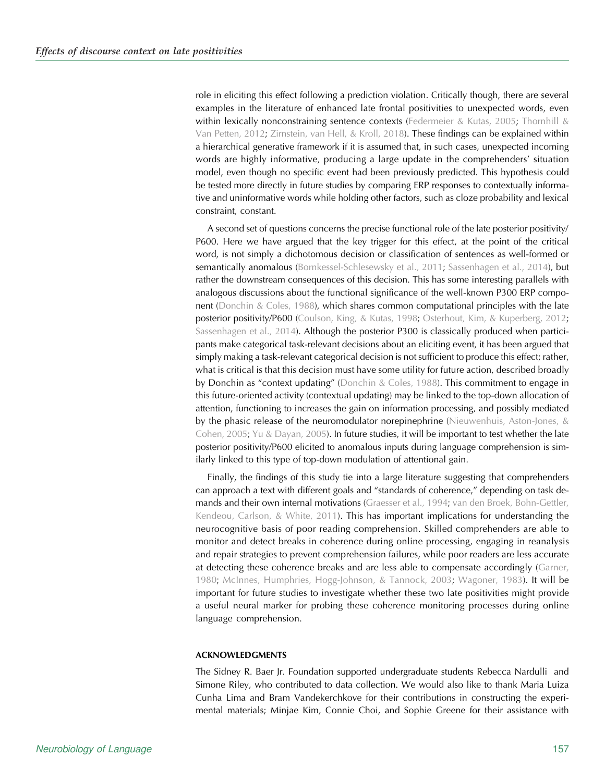role in eliciting this effect following a prediction violation. Critically though, there are several examples in the literature of enhanced late frontal positivities to unexpected words, even within lexically nonconstraining sentence contexts ([Federmeier & Kutas, 2005](#page-23-0); [Thornhill &](#page-25-0) [Van Petten, 2012](#page-25-0); [Zirnstein, van Hell, & Kroll, 2018](#page-25-0)). These findings can be explained within a hierarchical generative framework if it is assumed that, in such cases, unexpected incoming words are highly informative, producing a large update in the comprehenders' situation model, even though no specific event had been previously predicted. This hypothesis could be tested more directly in future studies by comparing ERP responses to contextually informative and uninformative words while holding other factors, such as cloze probability and lexical constraint, constant.

A second set of questions concerns the precise functional role of the late posterior positivity/ P600. Here we have argued that the key trigger for this effect, at the point of the critical word, is not simply a dichotomous decision or classification of sentences as well-formed or semantically anomalous ([Bornkessel-Schlesewsky et al., 2011](#page-23-0); [Sassenhagen et al., 2014\)](#page-25-0), but rather the downstream consequences of this decision. This has some interesting parallels with analogous discussions about the functional significance of the well-known P300 ERP component [\(Donchin & Coles, 1988](#page-23-0)), which shares common computational principles with the late posterior positivity/P600 ([Coulson, King, & Kutas, 1998;](#page-23-0) [Osterhout, Kim, & Kuperberg, 2012](#page-24-0); [Sassenhagen et al., 2014\)](#page-25-0). Although the posterior P300 is classically produced when participants make categorical task-relevant decisions about an eliciting event, it has been argued that simply making a task-relevant categorical decision is not sufficient to produce this effect; rather, what is critical is that this decision must have some utility for future action, described broadly by Donchin as "context updating" [\(Donchin & Coles, 1988\)](#page-23-0). This commitment to engage in this future-oriented activity (contextual updating) may be linked to the top-down allocation of attention, functioning to increases the gain on information processing, and possibly mediated by the phasic release of the neuromodulator norepinephrine ([Nieuwenhuis, Aston-Jones, &](#page-24-0) [Cohen, 2005;](#page-24-0) [Yu & Dayan, 2005\)](#page-25-0). In future studies, it will be important to test whether the late posterior positivity/P600 elicited to anomalous inputs during language comprehension is similarly linked to this type of top-down modulation of attentional gain.

Finally, the findings of this study tie into a large literature suggesting that comprehenders can approach a text with different goals and "standards of coherence," depending on task de-mands and their own internal motivations [\(Graesser et al., 1994](#page-23-0); [van den Broek, Bohn-Gettler,](#page-25-0) [Kendeou, Carlson, & White, 2011\)](#page-25-0). This has important implications for understanding the neurocognitive basis of poor reading comprehension. Skilled comprehenders are able to monitor and detect breaks in coherence during online processing, engaging in reanalysis and repair strategies to prevent comprehension failures, while poor readers are less accurate at detecting these coherence breaks and are less able to compensate accordingly ([Garner,](#page-23-0) [1980](#page-23-0); [McInnes, Humphries, Hogg-Johnson, & Tannock, 2003;](#page-24-0) [Wagoner, 1983](#page-25-0)). It will be important for future studies to investigate whether these two late positivities might provide a useful neural marker for probing these coherence monitoring processes during online language comprehension.

#### ACKNOWLEDGMENTS

The Sidney R. Baer Jr. Foundation supported undergraduate students Rebecca Nardulli and Simone Riley, who contributed to data collection. We would also like to thank Maria Luiza Cunha Lima and Bram Vandekerchkove for their contributions in constructing the experimental materials; Minjae Kim, Connie Choi, and Sophie Greene for their assistance with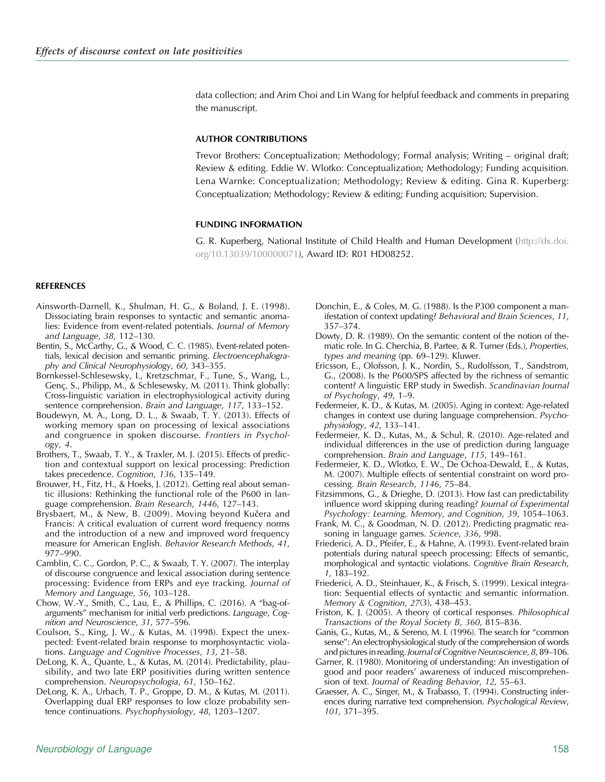<span id="page-23-0"></span>data collection; and Arim Choi and Lin Wang for helpful feedback and comments in preparing the manuscript.

# AUTHOR CONTRIBUTIONS

Trevor Brothers: Conceptualization; Methodology; Formal analysis; Writing – original draft; Review & editing. Eddie W. Wlotko: Conceptualization; Methodology; Funding acquisition. Lena Warnke: Conceptualization; Methodology; Review & editing. Gina R. Kuperberg: Conceptualization; Methodology; Review & editing; Funding acquisition; Supervision.

# FUNDING INFORMATION

G. R. Kuperberg, National Institute of Child Health and Human Development ([http://dx.doi.](http://dx.doi.org/10.13039/100000071) [org/10.13039/100000071](http://dx.doi.org/10.13039/100000071)), Award ID: R01 HD08252.

# REFERENCES

- Ainsworth-Darnell, K., Shulman, H. G., & Boland, J. E. (1998). Dissociating brain responses to syntactic and semantic anomalies: Evidence from event-related potentials. Journal of Memory and Language, 38, 112–130.
- Bentin, S., McCarthy, G., & Wood, C. C. (1985). Event-related potentials, lexical decision and semantic priming. Electroencephalography and Clinical Neurophysiology, 60, 343–355.
- Bornkessel-Schlesewsky, I., Kretzschmar, F., Tune, S., Wang, L., Genç, S., Philipp, M., & Schlesewsky, M. (2011). Think globally: Cross-linguistic variation in electrophysiological activity during sentence comprehension. Brain and Language, 117, 133–152.
- Boudewyn, M. A., Long, D. L., & Swaab, T. Y. (2013). Effects of working memory span on processing of lexical associations and congruence in spoken discourse. Frontiers in Psychology, 4.
- Brothers, T., Swaab, T. Y., & Traxler, M. J. (2015). Effects of prediction and contextual support on lexical processing: Prediction takes precedence. Cognition, 136, 135–149.
- Brouwer, H., Fitz, H., & Hoeks, J. (2012). Getting real about semantic illusions: Rethinking the functional role of the P600 in language comprehension. Brain Research, 1446, 127–143.
- Brysbaert, M., & New, B. (2009). Moving beyond Kučera and Francis: A critical evaluation of current word frequency norms and the introduction of a new and improved word frequency measure for American English. Behavior Research Methods, 41, 977–990.
- Camblin, C. C., Gordon, P. C., & Swaab, T. Y. (2007). The interplay of discourse congruence and lexical association during sentence processing: Evidence from ERPs and eye tracking. Journal of Memory and Language, 56, 103–128.
- Chow, W.-Y., Smith, C., Lau, E., & Phillips, C. (2016). A "bag-ofarguments" mechanism for initial verb predictions. Language, Cognition and Neuroscience, 31, 577–596.
- Coulson, S., King, J. W., & Kutas, M. (1998). Expect the unexpected: Event-related brain response to morphosyntactic violations. Language and Cognitive Processes, 13, 21–58.
- DeLong, K. A., Quante, L., & Kutas, M. (2014). Predictability, plausibility, and two late ERP positivities during written sentence comprehension. Neuropsychologia, 61, 150–162.
- DeLong, K. A., Urbach, T. P., Groppe, D. M., & Kutas, M. (2011). Overlapping dual ERP responses to low cloze probability sentence continuations. Psychophysiology, 48, 1203–1207.
- Donchin, E., & Coles, M. G. (1988). Is the P300 component a manifestation of context updating? Behavioral and Brain Sciences, 11, 357–374.
- Dowty, D. R. (1989). On the semantic content of the notion of thematic role. In G. Cherchia, B. Partee, & R. Turner (Eds.), Properties, types and meaning (pp. 69–129). Kluwer.
- Ericsson, E., Olofsson, J. K., Nordin, S., Rudolfsson, T., Sandstrom, G., (2008). Is the P600/SPS affected by the richness of semantic content? A linguistic ERP study in Swedish. Scandinavian Journal of Psychology, 49, 1–9.
- Federmeier, K. D., & Kutas, M. (2005). Aging in context: Age-related changes in context use during language comprehension. Psychophysiology, 42, 133–141.
- Federmeier, K. D., Kutas, M., & Schul, R. (2010). Age-related and individual differences in the use of prediction during language comprehension. Brain and Language, 115, 149–161.
- Federmeier, K. D., Wlotko, E. W., De Ochoa-Dewald, E., & Kutas, M. (2007). Multiple effects of sentential constraint on word processing. Brain Research, 1146, 75–84.
- Fitzsimmons, G., & Drieghe, D. (2013). How fast can predictability influence word skipping during reading? Journal of Experimental Psychology: Learning, Memory, and Cognition, 39, 1054–1063.
- Frank, M. C., & Goodman, N. D. (2012). Predicting pragmatic reasoning in language games. Science, 336, 998.
- Friederici, A. D., Pfeifer, E., & Hahne, A. (1993). Event-related brain potentials during natural speech processing: Effects of semantic, morphological and syntactic violations. Cognitive Brain Research, 1, 183–192.
- Friederici, A. D., Steinhauer, K., & Frisch, S. (1999). Lexical integration: Sequential effects of syntactic and semantic information. Memory & Cognition, 27(3), 438–453.
- Friston, K. J. (2005). A theory of cortical responses. Philosophical Transactions of the Royal Society B, 360, 815–836.
- Ganis, G., Kutas, M., & Sereno, M. I. (1996). The search for "common sense": An electrophysiological study of the comprehension of words and pictures in reading. Journal of Cognitive Neuroscience, 8, 89–106.
- Garner, R. (1980). Monitoring of understanding: An investigation of good and poor readers' awareness of induced miscomprehension of text. Journal of Reading Behavior, 12, 55–63.
- Graesser, A. C., Singer, M., & Trabasso, T. (1994). Constructing inferences during narrative text comprehension. Psychological Review, 101, 371–395.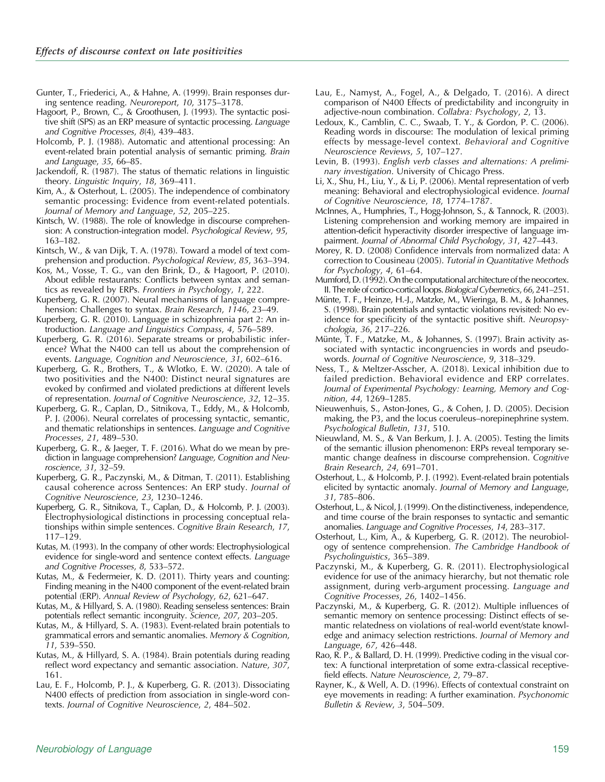<span id="page-24-0"></span>Gunter, T., Friederici, A., & Hahne, A. (1999). Brain responses during sentence reading. Neuroreport, 10, 3175–3178.

- Hagoort, P., Brown, C., & Groothusen, J. (1993). The syntactic positive shift (SPS) as an ERP measure of syntactic processing. Language and Cognitive Processes, 8(4), 439–483.
- Holcomb, P. J. (1988). Automatic and attentional processing: An event-related brain potential analysis of semantic priming. Brain and Language, 35, 66–85.
- Jackendoff, R. (1987). The status of thematic relations in linguistic theory. Linguistic Inquiry, 18, 369–411.
- Kim, A., & Osterhout, L. (2005). The independence of combinatory semantic processing: Evidence from event-related potentials. Journal of Memory and Language, 52, 205–225.
- Kintsch, W. (1988). The role of knowledge in discourse comprehension: A construction-integration model. Psychological Review, 95, 163–182.
- Kintsch, W., & van Dijk, T. A. (1978). Toward a model of text comprehension and production. Psychological Review, 85, 363–394.
- Kos, M., Vosse, T. G., van den Brink, D., & Hagoort, P. (2010). About edible restaurants: Conflicts between syntax and semantics as revealed by ERPs. Frontiers in Psychology, 1, 222.
- Kuperberg, G. R. (2007). Neural mechanisms of language comprehension: Challenges to syntax. Brain Research, 1146, 23–49.
- Kuperberg, G. R. (2010). Language in schizophrenia part 2: An introduction. Language and Linguistics Compass, 4, 576–589.
- Kuperberg, G. R. (2016). Separate streams or probabilistic inference? What the N400 can tell us about the comprehension of events. Language, Cognition and Neuroscience, 31, 602–616.
- Kuperberg, G. R., Brothers, T., & Wlotko, E. W. (2020). A tale of two positivities and the N400: Distinct neural signatures are evoked by confirmed and violated predictions at different levels of representation. Journal of Cognitive Neuroscience, 32, 12–35.
- Kuperberg, G. R., Caplan, D., Sitnikova, T., Eddy, M., & Holcomb, P. J. (2006). Neural correlates of processing syntactic, semantic, and thematic relationships in sentences. Language and Cognitive Processes, 21, 489–530.
- Kuperberg, G. R., & Jaeger, T. F. (2016). What do we mean by prediction in language comprehension? Language, Cognition and Neuroscience, 31, 32–59.
- Kuperberg, G. R., Paczynski, M., & Ditman, T. (2011). Establishing causal coherence across Sentences: An ERP study. Journal of Cognitive Neuroscience, 23, 1230–1246.
- Kuperberg, G. R., Sitnikova, T., Caplan, D., & Holcomb, P. J. (2003). Electrophysiological distinctions in processing conceptual relationships within simple sentences. Cognitive Brain Research, 17, 117–129.
- Kutas, M. (1993). In the company of other words: Electrophysiological evidence for single-word and sentence context effects. Language and Cognitive Processes, 8, 533–572.
- Kutas, M., & Federmeier, K. D. (2011). Thirty years and counting: Finding meaning in the N400 component of the event-related brain potential (ERP). Annual Review of Psychology, 62, 621–647.
- Kutas, M., & Hillyard, S. A. (1980). Reading senseless sentences: Brain potentials reflect semantic incongruity. Science, 207, 203–205.
- Kutas, M., & Hillyard, S. A. (1983). Event-related brain potentials to grammatical errors and semantic anomalies. Memory & Cognition, 11, 539–550.
- Kutas, M., & Hillyard, S. A. (1984). Brain potentials during reading reflect word expectancy and semantic association. Nature, 307, 161.
- Lau, E. F., Holcomb, P. J., & Kuperberg, G. R. (2013). Dissociating N400 effects of prediction from association in single-word contexts. Journal of Cognitive Neuroscience, 2, 484–502.
- Lau, E., Namyst, A., Fogel, A., & Delgado, T. (2016). A direct comparison of N400 Effects of predictability and incongruity in adjective-noun combination. Collabra: Psychology, 2, 13.
- Ledoux, K., Camblin, C. C., Swaab, T. Y., & Gordon, P. C. (2006). Reading words in discourse: The modulation of lexical priming effects by message-level context. Behavioral and Cognitive Neuroscience Reviews, 5, 107–127.
- Levin, B. (1993). English verb classes and alternations: A preliminary investigation. University of Chicago Press.
- Li, X., Shu, H., Liu, Y., & Li, P. (2006). Mental representation of verb meaning: Behavioral and electrophysiological evidence. Journal of Cognitive Neuroscience, 18, 1774–1787.
- McInnes, A., Humphries, T., Hogg-Johnson, S., & Tannock, R. (2003). Listening comprehension and working memory are impaired in attention-deficit hyperactivity disorder irrespective of language impairment. Journal of Abnormal Child Psychology, 31, 427–443.
- Morey, R. D. (2008) Confidence intervals from normalized data: A correction to Cousineau (2005). Tutorial in Quantitative Methods for Psychology, 4, 61–64.
- Mumford, D. (1992). On the computational architecture of the neocortex. II. The role of cortico-cortical loops. Biological Cybernetics, 66, 241–251.
- Münte, T. F., Heinze, H.-J., Matzke, M., Wieringa, B. M., & Johannes, S. (1998). Brain potentials and syntactic violations revisited: No evidence for specificity of the syntactic positive shift. Neuropsychologia, 36, 217–226.
- Münte, T. F., Matzke, M., & Johannes, S. (1997). Brain activity associated with syntactic incongruencies in words and pseudowords. Journal of Cognitive Neuroscience, 9, 318–329.
- Ness, T., & Meltzer-Asscher, A. (2018). Lexical inhibition due to failed prediction. Behavioral evidence and ERP correlates. Journal of Experimental Psychology: Learning, Memory and Cognition, 44, 1269–1285.
- Nieuwenhuis, S., Aston-Jones, G., & Cohen, J. D. (2005). Decision making, the P3, and the locus coeruleus–norepinephrine system. Psychological Bulletin, 131, 510.
- Nieuwland, M. S., & Van Berkum, J. J. A. (2005). Testing the limits of the semantic illusion phenomenon: ERPs reveal temporary semantic change deafness in discourse comprehension. Cognitive Brain Research, 24, 691–701.
- Osterhout, L., & Holcomb, P. J. (1992). Event-related brain potentials elicited by syntactic anomaly. Journal of Memory and Language, 31, 785–806.
- Osterhout, L., & Nicol, J. (1999). On the distinctiveness, independence, and time course of the brain responses to syntactic and semantic anomalies. Language and Cognitive Processes, 14, 283–317.
- Osterhout, L., Kim, A., & Kuperberg, G. R. (2012). The neurobiology of sentence comprehension. The Cambridge Handbook of Psycholinguistics, 365–389.
- Paczynski, M., & Kuperberg, G. R. (2011). Electrophysiological evidence for use of the animacy hierarchy, but not thematic role assignment, during verb-argument processing. Language and Cognitive Processes, 26, 1402–1456.
- Paczynski, M., & Kuperberg, G. R. (2012). Multiple influences of semantic memory on sentence processing: Distinct effects of semantic relatedness on violations of real-world event/state knowledge and animacy selection restrictions. Journal of Memory and Language, 67, 426–448.
- Rao, R. P., & Ballard, D. H. (1999). Predictive coding in the visual cortex: A functional interpretation of some extra-classical receptivefield effects. Nature Neuroscience, 2, 79–87.
- Rayner, K., & Well, A. D. (1996). Effects of contextual constraint on eye movements in reading: A further examination. Psychonomic Bulletin & Review, 3, 504–509.